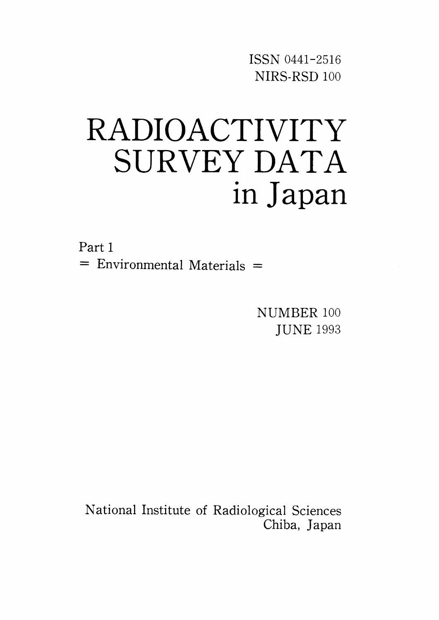ISSN 0441-2516 NIRS-RSD 100

# RADIOACTIVITY SURVEY DATA in Japan

Part 1  $=$  Environmental Materials  $=$ 

> NUMBER 100 **JUNE 1993**

National Institute of Radiological Sciences Chiba, Japan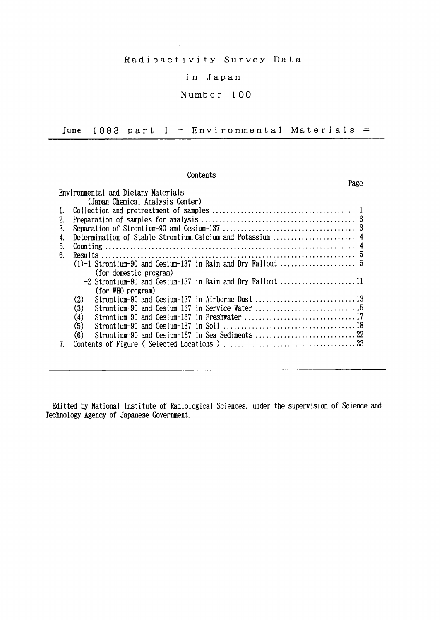### Radioactivity Survey Data

#### in Japan

### Number 100

June 1993 part  $1 =$  Environmental Materials =

#### Contents

|                  |                                                           | Page |  |  |  |  |  |  |  |
|------------------|-----------------------------------------------------------|------|--|--|--|--|--|--|--|
|                  | Environmental and Dietary Materials                       |      |  |  |  |  |  |  |  |
|                  | (Japan Chemical Analysis Center)                          |      |  |  |  |  |  |  |  |
|                  |                                                           |      |  |  |  |  |  |  |  |
| 2.               |                                                           |      |  |  |  |  |  |  |  |
| 3.               |                                                           |      |  |  |  |  |  |  |  |
| $\overline{4}$ . |                                                           |      |  |  |  |  |  |  |  |
| 5.               |                                                           |      |  |  |  |  |  |  |  |
| 6.               |                                                           |      |  |  |  |  |  |  |  |
|                  |                                                           |      |  |  |  |  |  |  |  |
|                  | (for domestic program)                                    |      |  |  |  |  |  |  |  |
|                  | -2 Strontium-90 and Cesium-137 in Rain and Dry Fallout 11 |      |  |  |  |  |  |  |  |
|                  | (for WHO program)                                         |      |  |  |  |  |  |  |  |
|                  | (2)                                                       |      |  |  |  |  |  |  |  |
|                  | (3)<br>Strontium-90 and Cesium-137 in Service Water       |      |  |  |  |  |  |  |  |
|                  | (4)<br>Strontium-90 and Cesium-137 in Freshwater 17       |      |  |  |  |  |  |  |  |
|                  | (5)                                                       |      |  |  |  |  |  |  |  |
|                  | (6)                                                       |      |  |  |  |  |  |  |  |
|                  |                                                           |      |  |  |  |  |  |  |  |

Editted by National Institute of Radiological Sciences, under the supervision of Science and Technology Agency of Japanese Government.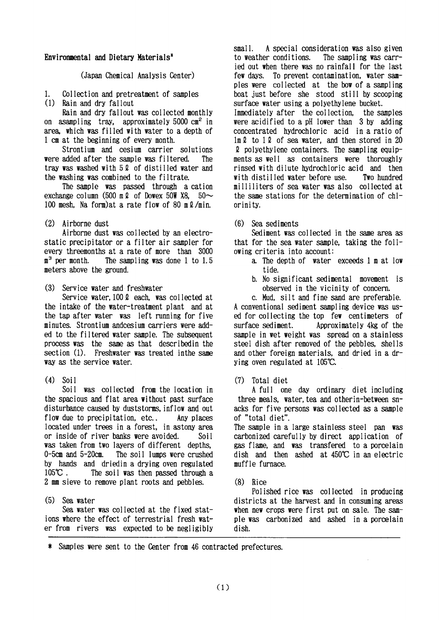#### Environmental and Dietary Materials<sup>\*</sup>

(Japan Chemical Analysis Center)

 $\mathbf{1}$ Collection and pretreatment of samples

 $(1)$ Rain and dry fallout

Rain and dry fallout was collected monthly on asampling tray, approximately 5000 cm<sup>2</sup> in area, which was filled with water to a depth of 1 cm at the beginning of every month.

Strontium and cesium carrier solutions were added after the sample was filtered. The tray was washed with 5.2 of distilled water and the washing was combined to the filtrate.

The sample was passed through a cation exchange column (500 m  $\ell$  of Dowex 50W X8, 50 $\sim$ 100 mesh. Na form) at a rate flow of 80 m 2/min.

(2) Airborne dust

Airborne dust was collected by an electrostatic precipitator or a filter air sampler for every threemonths at a rate of more than 3000  $\mathbf{n}^3$  per month. The sampling was done 1 to 1.5 meters above the ground.

Service water and freshwater  $(3)$ 

Service water, 100 2 each, was collected at the intake of the water-treatment plant and at the tap after water was left running for five minutes. Strontium andcesium carriers were added to the filtered water sample. The subsequent process was the same as that described in the section (1). Freshwater was treated in the same way as the service water.

 $(4)$  Soil

Soil was collected from the location in the spacious and flat area without past surface disturbance caused by duststorms, inflow and out flow due to precipitation, etc.. Any places located under trees in a forest, in astony area or inside of river banks were avoided. Soi 1 was taken from two layers of different depths.  $0$ -5cm and  $5$ -20cm. The soil lumps were crushed by hands and driedin a drying oven regulated  $105^{\circ}$ C. The soil was then passed through a 2 mm sieve to remove plant roots and pebbles.

 $(5)$  Sea water

Sea water was collected at the fixed stations where the effect of terrestrial fresh water from rivers was expected to be negligibly

A special consideration was also given  $smal1$ to weather conditions. The sampling was carried out when there was no rainfall for the last few days. To prevent contamination, water samples were collected at the bow of a sampling boat just before she stood still by scooping surface water using a polyethylene bucket. Immediately after the collection, the samples were acidified to a pH lower than 3 by adding concentrated hydrochloric acid in a ratio of  $\ln \ell$  to 1  $\ell$  of sea water, and then stored in 20 2 polyethylene containers. The sampling equipments as well as containers were thoroughly rinsed with dilute hydrochloric acid and then with distilled water before use. Two hundred milliliters of sea water was also collected at the same stations for the determination of chlorinity.

(6) Sea sediments

Sediment was collected in the same area as that for the sea water sample, taking the following criteria into account:

- a. The depth of water exceeds 1 m at low tide.
- b. No significant sedimental movement is observed in the vicinity of concern.

c. Mud. silt and fine sand are preferable. A conventional sediment sampling device was used for collecting the top few centimeters of Approximately 4kg of the surface sediment. sample in wet weight was spread on a stainless steel dish after removed of the pebbles, shells and other foreign materials, and dried in a drying oven regulated at 105°C.

 $(7)$ Total diet

A full one day ordinary diet including three meals, water, tea and other in-between snacks for five persons was collected as a sample of "total diet".

The sample in a large stainless steel pan was carbonized carefully by direct application of gas flame, and was transfered to a porcelain dish and then ashed at 450°C in an electric muffle furnace.

 $(8)$  Rice

Polished rice was collected in producing districts at the harvest and in consuming areas when new crops were first put on sale. The sample was carbonized and ashed in a porcelain dish.

 $\ast$ Samples were sent to the Center from 46 contracted prefectures.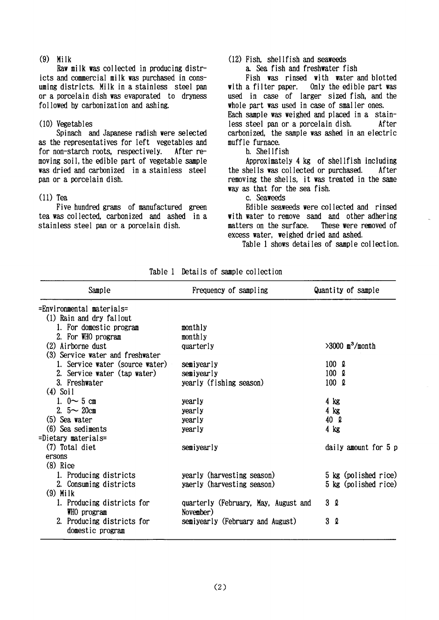$(9)$  Milk

Raw milk was collected in producing districts and commercial milk was purchased in consuming districts. Milk in a stainless steel pan or a porcelain dish was evaporated to dryness followed by carbonization and ashing.

#### $(10)$  Vegetables

Spinach and Japanese radish were selected as the representatives for left vegetables and for non-starch roots, respectively, After removing soil, the edible part of vegetable sample was dried and carbonized in a stainless steel pan or a porcelain dish.

#### $(11)$  Tea

Five hundred grams of manufactured green tea was collected, carbonized and ashed in a stainless steel pan or a porcelain dish.

### (12) Fish. shellfish and seaweeds

a. Sea fish and freshwater fish

Fish was rinsed with water and blotted Only the edible part was with a filter paper. used in case of larger sized fish, and the whole part was used in case of smaller ones. Each sample was weighed and placed in a stainless steel pan or a porcelain dish. After carbonized, the sample was ashed in an electric muffle furnace.

#### h. Shellfish

Approximately 4 kg of shellfish including the shells was collected or purchased. After removing the shells, it was treated in the same way as that for the sea fish.

c. Seaweeds

Edible seaweeds were collected and rinsed with water to remove sand and other adhering matters on the surface. These were removed of excess water, weighed dried and ashed.

Table 1 shows detailes of sample collection.

| Sample                                    | Frequency of sampling                             | Quantity of sample            |
|-------------------------------------------|---------------------------------------------------|-------------------------------|
| =Environmental materials=                 |                                                   |                               |
| (1) Rain and dry fallout                  |                                                   |                               |
| 1. For domestic program                   | monthly                                           |                               |
| 2. For WHO program                        | monthly                                           |                               |
| (2) Airborne dust                         | quarterly                                         | $>3000$ m <sup>3</sup> /month |
| (3) Service water and freshwater          |                                                   |                               |
| 1. Service water (source water)           | semiyearly                                        | $100 \Omega$                  |
| 2. Service water (tap water)              | semiyearly                                        | $100 \Omega$                  |
| 3. Freshwater                             | yearly (fishing season)                           | $100 \Omega$                  |
| $(4)$ Soil                                |                                                   |                               |
| 1. $0 \sim 5$ cm                          | yearly                                            | $4 \text{ kg}$                |
| 2. $5 \sim 20$ cm                         | yearly                                            | $4$ kg                        |
| $(5)$ Sea water                           | yearly                                            | 40 Q                          |
| (6) Sea sediments                         | yearly                                            | $4$ kg                        |
| =Dietary materials=                       |                                                   |                               |
| (7) Total diet                            | semiyearly                                        | daily amount for 5 p          |
| ersons                                    |                                                   |                               |
| $(8)$ Rice                                |                                                   |                               |
| 1. Producing districts                    | yearly (harvesting season)                        | 5 kg (polished rice)          |
| 2. Consuming districts                    | yaerly (harvesting season)                        | 5 kg (polished rice)          |
| $(9)$ Milk                                |                                                   |                               |
| 1. Producing districts for<br>WHO program | quarterly (February, May, August and<br>November) | 3Q                            |
| 2. Producing districts for                | semiyearly (February and August)                  | 3Q                            |
| domestic program                          |                                                   |                               |

Table 1 Details of sample collection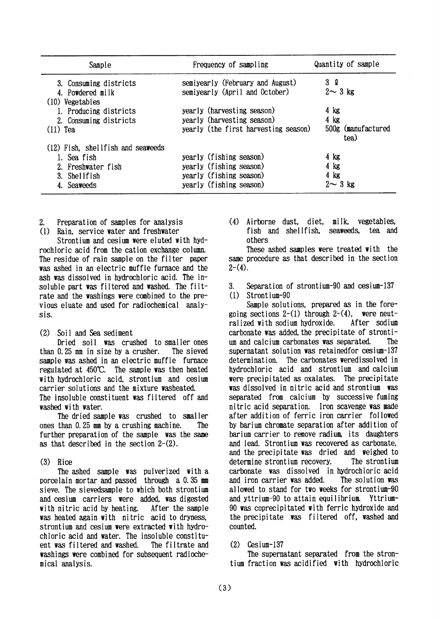| Sample                               | Frequency of sampling                | Quantity of sample         |
|--------------------------------------|--------------------------------------|----------------------------|
| 3. Consuming districts               | semiyearly (February and August)     | 3 Q                        |
| 4. Powdered milk                     | semiyearly (April and October)       | $2 \sim 3$ kg              |
| (10) Vegetables                      |                                      |                            |
| 1. Producing districts               | yearly (harvesting season)           | $4 \text{ kg}$             |
| 2. Consuming districts               | yearly (harvesting season)           | $4$ kg                     |
| $(11)$ Tea                           | yearly (the first harvesting season) | 500g (manufactured<br>tea) |
| $(12)$ Fish, shell fish and seaweeds |                                      |                            |
| 1. Sea fish                          | yearly (fishing season)              | 4 kg                       |
| Freshwater fish                      | yearly (fishing season)              | 4 kg                       |
| 3. Shellfish                         | yearly (fishing season)              | $4$ kg                     |
| 4. Seaweeds                          | yearly (fishing season)              | $2 \sim 3$ kg              |

- $2.$ Preparation of samples for analysis
- (1) Rain, service water and freshwater

Strontium and cesium were eluted with hydrochloric acid from the cation exchange column. The residue of rain sample on the filter paper was ashed in an electric muffle furnace and the ash was dissolved in hydrochloric acid. The insoluble part was filtered and washed. The filtrate and the washings were combined to the previous eluate and used for radiochemical analysis.

(2) Soil and Sea sediment

Dried soil was crushed to smaller ones than 0.25 mm in size by a crusher. The sieved sample was ashed in an electric muffle furnace regulated at 450°C. The sample was then heated with hydrochloric acid, strontium and cesium carrier solutions and the mixture washeated. The insoluble constituent was filtered off and washed with water.

The dried sample was crushed to smaller ones than 0.25 mm by a crushing machine. The further preparation of the sample was the same as that described in the section  $2-(2)$ .

 $(3)$ Rice

The ashed sample was pulverized with a porcelain mortar and passed through a 0.35 mm sieve. The sievedsample to which both strontium and cesium carriers were added, was digested with nitric acid by heating. After the sample was heated again with nitric acid to dryness, strontium and cesium were extracted with hydrochloric acid and water. The insoluble constituent was filtered and washed. The filtrate and washings were combined for subsequent radiochemical analysis.

(4) Airborne dust, diet, milk. vegetables. fish and shellfish. seaweeds. tea and others

These ashed samples were treated with the same procedure as that described in the section  $2-(4)$ .

Separation of strontium-90 and cesium-137 3.  $(1)$ Strontium-90

Sample solutions, prepared as in the foregoing sections 2-(1) through 2-(4), were neutralized with sodium hydroxide. After sodium carbonate was added, the precipitate of strontium and calcium carbonates was separated. The supernatant solution was retained for cesium-137 determination. The carbonates weredissolved in hydrochloric acid and strontium and calcium were precipitated as oxalates. The precipitate was dissolved in nitric acid and strontium was separated from calcium by successive fuming nitric acid separation. Iron scavenge was made after addition of ferric iron carrier followed by barium chromate separation after addition of barium carrier to remove radium, its daughters and lead. Strontium was recovered as carbonate, and the precipitate was dried and weighed to determine strontium recovery. The strontium carbonate was dissolved in hydrochloric acid and iron carrier was added. The solution was allowed to stand for two weeks for strontium-90 and yttrium-90 to attain equilibrium. Yttrium-90 was coprecipitated with ferric hydroxide and the precipitate was filtered off, washed and counted.

#### $(2)$  $Cesium-137$

The supernatant separated from the strontium fraction was acidified with hydrochloric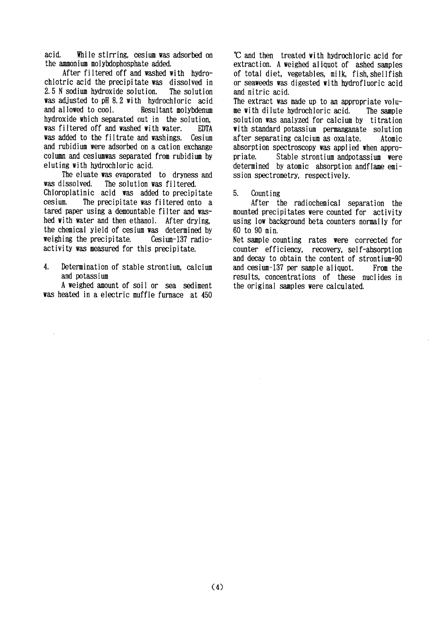While stirring, cesium was adsorbed on acid the ammonium molybdophosphate added.

After filtered off and washed with hydrochlotric acid the precipitate was dissolved in 2.5 N sodium hydroxide solution. The solution was adjusted to pH 8.2 with hydrochloric acid and allowed to cool. Resultant molybdenum hydroxide which separated out in the solution. was filtered off and washed with water. **EDTA** was added to the filtrate and washings. Cesium and rubidium were adsorbed on a cation exchange column and cesiumwas separated from rubidium by eluting with hydrochloric acid.

The eluate was evaporated to dryness and was dissolved. The solution was filtered.

Chloroplatinic acid was added to precipitate cesium. The precipitate was filtered onto a tared paper using a demountable filter and washed with water and then ethanol. After drying. the chemical yield of cesium was determined by weighing the precipitate. Cesium-137 radioactivity was measured for this precipitate.

 $\overline{4}$ . Determination of stable strontium, calcium and potassium

A weighed amount of soil or sea sediment was heated in a electric muffle furnace at 450

C and then treated with hydrochloric acid for extraction. A weighed aliquot of ashed samples of total diet, vegetables, milk, fish, shellfish or seaweeds was digested with hydrofluoric acid and nitric acid.

The extract was made up to an appropriate volume with dilute hydrochloric acid. The sample solution was analyzed for calcium by titration with standard potassium permanganate solution after separating calcium as oxalate. Atomic absorption spectroscopy was applied when appropriate. Stable strontium andpotassium were determined by atomic absorption and flame emission spectrometry, respectively.

 $5<sup>1</sup>$ Counting

After the radiochemical separation the mounted precipitates were counted for activity using low background beta counters normally for 60 to 90 min.

Net sample counting rates were corrected for counter efficiency, recovery, self-absorption and decay to obtain the content of strontium-90 and cesium-137 per sample aliquot. From the results, concentrations of these nuclides in the original samples were calculated.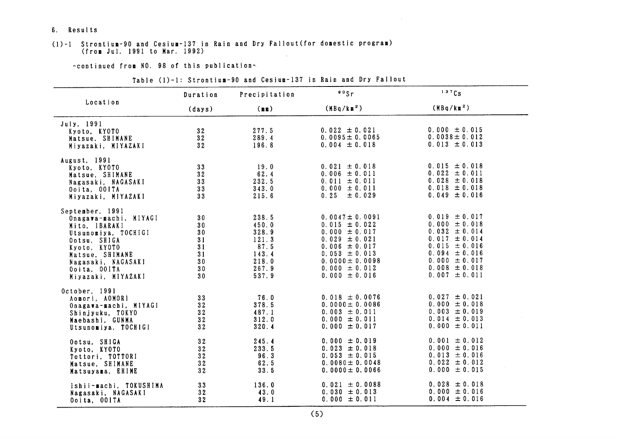6. Results

#### (1)-1 Strontium-90 and Cesium-137 in Rain and Dry Fallout (for domestic program) (from Jul. 1991 to Mar. 1992)  $\sim$

-continued from NO. 98 of this publication-

|                                                                                                                                                                                                 | Duration                                                                                                            | Precipitation                                                                | $\frac{90}{5}$ r                                                                                                                                                                              | 137Cs                                                                                                                                                                                     |
|-------------------------------------------------------------------------------------------------------------------------------------------------------------------------------------------------|---------------------------------------------------------------------------------------------------------------------|------------------------------------------------------------------------------|-----------------------------------------------------------------------------------------------------------------------------------------------------------------------------------------------|-------------------------------------------------------------------------------------------------------------------------------------------------------------------------------------------|
| Location                                                                                                                                                                                        | (days)                                                                                                              | (m)                                                                          | (MBq/km <sup>2</sup> )                                                                                                                                                                        | (MBq/km <sup>2</sup> )                                                                                                                                                                    |
| July, 1991<br>Kyoto, KYOTO<br>Matsue, SHIMANE<br>Miyazaki, MIYAZAKI                                                                                                                             | 32<br>32<br>32                                                                                                      | 277.5<br>289.4<br>196.8                                                      | $0.022 \pm 0.021$<br>$0.0095 \pm 0.0065$<br>$0.004 \pm 0.018$                                                                                                                                 | $0.000 \pm 0.015$<br>$0.0038 \pm 0.012$<br>$0.013 \pm 0.013$                                                                                                                              |
| August, 1991<br>Kyoto, KYOTO<br>Matsue, SHIMANE<br>Nagasaki, NAGASAKI<br>Ooita, OOITA<br>Miyazaki, MIYAZAKI                                                                                     | 33 <sub>o</sub><br>32<br>33<br>33<br>33                                                                             | 19.0<br>62.4<br>232.5<br>343.0<br>215.6                                      | $0.021 \pm 0.018$<br>$0.006 \pm 0.011$<br>$0.011 \pm 0.011$<br>$0.000 \pm 0.011$<br>$0.25 \pm 0.029$                                                                                          | $0.015 \pm 0.018$<br>$0.022 \pm 0.011$<br>$0.028 \pm 0.018$<br>$0.018 \pm 0.018$<br>$0.049 \pm 0.016$                                                                                     |
| September, 1991<br>Onagawa-machi, MIYAGI<br>Mito. IBARAKI<br>Utsunomiya, TOCHIGI<br>Ootsu, SHIGA<br>Kyoto, KYOTO<br>Matsue, SHIMANE<br>Nagasaki, NAGASAKI<br>Ooita, OOITA<br>Miyazaki, MIYAZAKI | 30 <sub>o</sub><br>30 <sub>o</sub><br>30 <sub>o</sub><br>31<br>31<br>31<br>30<br>30 <sub>o</sub><br>30 <sub>o</sub> | 238.5<br>450.0<br>328.9<br>121.3<br>87.5<br>143.4<br>218.0<br>267.9<br>537.9 | $0.0047 \pm 0.0091$<br>$0.015 \pm 0.022$<br>$0.000 \pm 0.017$<br>$0.029 \pm 0.021$<br>$0.006 \pm 0.017$<br>$0.053 \pm 0.013$<br>$0.0000 \pm 0.0098$<br>$0.000 \pm 0.012$<br>$0.000 \pm 0.016$ | $0.019 \pm 0.017$<br>$0.000 \pm 0.018$<br>$0.032 \pm 0.014$<br>$0.017 \pm 0.014$<br>$0.015 \pm 0.016$<br>$0.094 \pm 0.016$<br>$0.000 \pm 0.017$<br>$0.008 \pm 0.018$<br>$0.007 \pm 0.011$ |
| October, 1991<br>Aomori, AOMORI<br>Onagawa-machi, MIYAGI<br>Shinjyuku, TOKYO<br>Maebashi, GUNMA<br>Utsunomiya, TOCHIGI                                                                          | 33<br>32<br>32<br>32<br>32                                                                                          | 76.0<br>378.5<br>487.1<br>312.0<br>320.4                                     | $0.018 \pm 0.0076$<br>$0.0000 \pm 0.0086$<br>$0.003 \pm 0.011$<br>$0.000 \pm 0.011$<br>$0.000 \pm 0.017$                                                                                      | $0.027 \pm 0.021$<br>$0.000 \pm 0.018$<br>$0.003 \pm 0.019$<br>$0.014 \pm 0.013$<br>$0.000 \pm 0.011$                                                                                     |
| Ootsu, SHIGA<br>Kyoto, KYOTO<br>Tottori, TOTTORI<br>Matsue, SHIMANE<br>Matsuyama, EHIME                                                                                                         | 32<br>32<br>32<br>32<br>32                                                                                          | 245.4<br>233.5<br>96.3<br>62.5<br>33.5                                       | $0.000 \pm 0.019$<br>$0.023 \pm 0.018$<br>$0.053 \pm 0.015$<br>$0.0080 \pm 0.0048$<br>$0.0000 \pm 0.0066$                                                                                     | $0.001 \pm 0.012$<br>$0.000 \pm 0.016$<br>$0.013 \pm 0.016$<br>$0.022 \pm 0.012$<br>$0.000 \pm 0.015$                                                                                     |
| Ishii-machi, TOKUSHIMA<br>Nagasaki, NAGASAKI<br>Ooita, OOITA                                                                                                                                    | 33<br>32<br>32                                                                                                      | 136.0<br>43.0<br>49.1                                                        | $0.021 \pm 0.0088$<br>$0.030 \pm 0.013$<br>$0.000 \pm 0.011$                                                                                                                                  | $0.028 \pm 0.018$<br>$0.000 \pm 0.016$<br>$0.004 \pm 0.016$                                                                                                                               |

#### Table (1)-1: Strontium-90 and Cesium-137 in Rain and Dry Fallout

 $\sim 10^{-11}$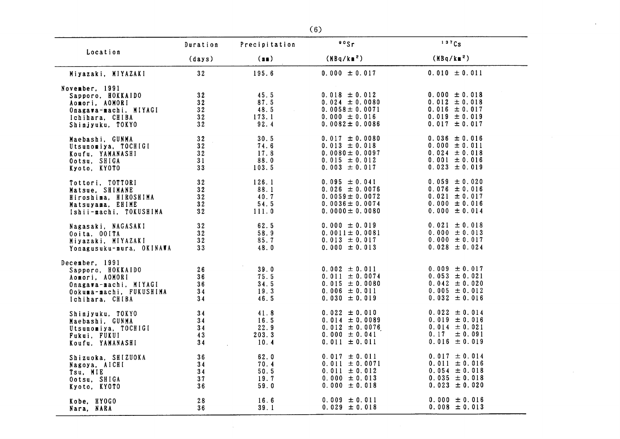|                                                                                                                              | Duration                   | Precipitation                         | 90Sr                                                                                                       | 137Cs                                                                                                 |
|------------------------------------------------------------------------------------------------------------------------------|----------------------------|---------------------------------------|------------------------------------------------------------------------------------------------------------|-------------------------------------------------------------------------------------------------------|
| Location                                                                                                                     | (days)                     | (n)                                   | (MBq/k <sup>2</sup> )                                                                                      | (MBq/km <sup>2</sup> )                                                                                |
| Miyazaki, MIYAZAKI                                                                                                           | 32                         | 195.6                                 | $0.000 \pm 0.017$                                                                                          | $0.010 \pm 0.011$                                                                                     |
| November, 1991<br>Sapporo, HOKKAIDO<br>Aomori, AOMORI<br>Onagawa-machi, MIYAGI<br>Ichihara, CHIBA<br>Shinjyuku, TOKYO        | 32<br>32<br>32<br>32<br>32 | 45.5<br>87.5<br>48.5<br>173.1<br>92.4 | $0.018 \pm 0.012$<br>$0.024 \pm 0.0080$<br>$0.0058 \pm 0.0071$<br>$0.000 \pm 0.016$<br>$0.0082 \pm 0.0086$ | $0.000 \pm 0.018$<br>$0.012 \pm 0.018$<br>$0.016 \pm 0.017$<br>$0.019 \pm 0.019$<br>$0.017 \pm 0.017$ |
| Maebashi, GUNMA                                                                                                              | 32                         | 30.5                                  | $0.017 \pm 0.0080$                                                                                         | $0.036 \pm 0.016$                                                                                     |
| Utsunomiya, TOCHIGI                                                                                                          | 32                         | 74.6                                  | $0.013 \pm 0.018$                                                                                          | $0.000 \pm 0.011$                                                                                     |
| Koufu. YAMANASHI                                                                                                             | 32                         | 17.8                                  | $0.0080 \pm 0.0097$                                                                                        | $0.024 \pm 0.018$                                                                                     |
| Ootsu, SHIGA                                                                                                                 | 31                         | 88.0                                  | $0.015 \pm 0.012$                                                                                          | $0.001 \pm 0.016$                                                                                     |
| Kyoto, KYOTO                                                                                                                 | 33                         | 103.5                                 | $0.003 \pm 0.017$                                                                                          | $0.023 \pm 0.019$                                                                                     |
| Tottori, TOTTORI                                                                                                             | 32                         | 126.1                                 | $0.095 \pm 0.041$                                                                                          | $0.059 \pm 0.020$                                                                                     |
| Matsue, SHIMANE                                                                                                              | 32                         | 88.1                                  | $0.026 \pm 0.0076$                                                                                         | $0.076 \pm 0.016$                                                                                     |
| Hiroshima, HIROSHIMA                                                                                                         | 32                         | 40.7                                  | $0.0059 \pm 0.0072$                                                                                        | $0.021 \pm 0.017$                                                                                     |
| Matsuyama, EHIME                                                                                                             | 32 <sub>2</sub>            | 54.5                                  | $0.0036 \pm 0.0074$                                                                                        | $0.000 \pm 0.016$                                                                                     |
| Ishii-machi, TOKUSHIMA                                                                                                       | 32                         | 111.0                                 | $0.0000 \pm 0.0080$                                                                                        | $0.000 \pm 0.014$                                                                                     |
| Nagasaki, NAGASAKI                                                                                                           | 32 <sub>2</sub>            | 62.5                                  | $0.000 \pm 0.019$                                                                                          | $0.021 \pm 0.018$                                                                                     |
| Ooita, OOITA                                                                                                                 | 32                         | 58.9                                  | $0.0011 \pm 0.0081$                                                                                        | $0.000 \pm 0.013$                                                                                     |
| Miyazaki, MIYAZAKI                                                                                                           | 32 <sub>2</sub>            | 85.7                                  | $0.013 \pm 0.017$                                                                                          | $0.000 \pm 0.017$                                                                                     |
| Yonagusuku-mura, OKINAWA                                                                                                     | 33 <sub>o</sub>            | 48.0                                  | $0.000 \pm 0.013$                                                                                          | $0.028 \pm 0.024$                                                                                     |
| December, 1991<br>Sapporo, HOKKAIDO<br>Aomori, AOMORI<br>Onagawa-machi, MIYAGI<br>Ookuma-machi, FUKUSHIMA<br>Ichihara, CHIBA | 26<br>36<br>36<br>34<br>34 | 39.0<br>75.5<br>34.5<br>19.3<br>46.5  | $0.002 \pm 0.011$<br>$0.011 \pm 0.0074$<br>$0.015 \pm 0.0080$<br>$0.006 \pm 0.011$<br>$0.030 \pm 0.019$    | $0.009 \pm 0.017$<br>$0.053 \pm 0.021$<br>$0.042 \pm 0.020$<br>$0.005 \pm 0.012$<br>$0.032 \pm 0.016$ |
| Shinjyuku, TOKYO                                                                                                             | 34                         | 41.8                                  | $0.022 \pm 0.010$                                                                                          | $0.022 \pm 0.014$                                                                                     |
| Maebashi, GUNMA                                                                                                              | 34                         | 16.5                                  | $0.014 \pm 0.0089$                                                                                         | $0.019 \pm 0.016$                                                                                     |
| Utsunomiya, TOCHIGI                                                                                                          | 34                         | 22.9                                  | $0.012 \pm 0.0076$                                                                                         | $0.014 \pm 0.021$                                                                                     |
| Fukui, FUKUI                                                                                                                 | 43                         | 203.3                                 | $0.000 \pm 0.041$                                                                                          | $0.17 \pm 0.091$                                                                                      |
| Koufu, YAMANASHI                                                                                                             | 34                         | 10.4                                  | $0.011 \pm 0.011$                                                                                          | $0.016 \pm 0.019$                                                                                     |
| Shizuoka, SHIZUOKA                                                                                                           | 36                         | 62.0                                  | $0.017 \pm 0.011$                                                                                          | $0.017 \pm 0.014$                                                                                     |
| Nagoya, AICHI                                                                                                                | 34                         | 70.4                                  | $0.011 \pm 0.0071$                                                                                         | $0.011 \pm 0.016$                                                                                     |
| Tsu, MIE                                                                                                                     | 34                         | 50.5                                  | $0.011 \pm 0.012$                                                                                          | $0.054 \pm 0.018$                                                                                     |
| Ootsu, SHIGA                                                                                                                 | 37                         | 19.7                                  | $0.000 \pm 0.013$                                                                                          | $0.035 \pm 0.018$                                                                                     |
| Kyoto, KYOTO                                                                                                                 | 36                         | 59.0                                  | $0.000 \pm 0.018$                                                                                          | $0.023 \pm 0.020$                                                                                     |
| Kobe, HYOGO                                                                                                                  | 28                         | 16.6                                  | $0.009 \pm 0.011$                                                                                          | $0.000 \pm 0.016$                                                                                     |
| Nara, NARA                                                                                                                   | 36                         | 39.1                                  | $0.029 \pm 0.018$                                                                                          | $0.008 \pm 0.013$                                                                                     |

 $\mathcal{A}$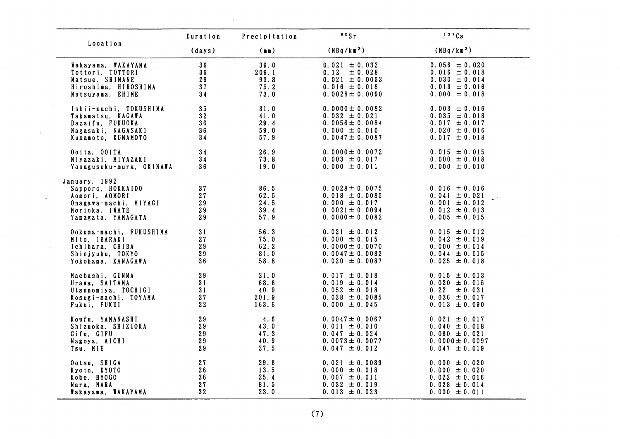|                                                                                                                       | Duration                   | Precipitation                         | °°sr                                                                                                         | 137Cs                                                                                                 |
|-----------------------------------------------------------------------------------------------------------------------|----------------------------|---------------------------------------|--------------------------------------------------------------------------------------------------------------|-------------------------------------------------------------------------------------------------------|
| Location                                                                                                              | (days)                     | (m)                                   | (MBq/km <sup>2</sup> )                                                                                       | (MBq/km <sup>2</sup> )                                                                                |
| Wakayama, WAKAYAMA<br>Tottori, TOTTORI<br>Matsue, SHIMANE<br>Hiroshima, HIROSHIMA<br>Matsuyama, EHIME                 | 36<br>36<br>26<br>37<br>34 | 39.0<br>209.1<br>93.8<br>75.2<br>73.0 | $0.021 \pm 0.032$<br>0.12<br>± 0.028<br>$0.021 \pm 0.0053$<br>$0.016 \pm 0.018$<br>$0.0028 \pm 0.0090$       | $0.056 \pm 0.020$<br>$0.016 \pm 0.018$<br>$0.030 \pm 0.014$<br>$0.013 \pm 0.016$<br>$0.000 \pm 0.018$ |
| Ishii-machi, TOKUSHIMA                                                                                                | 35 <sub>1</sub>            | 31.0                                  | $0.0000 \pm 0.0082$                                                                                          | $0.003 \pm 0.016$                                                                                     |
| Takamatsu, KAGAWA                                                                                                     | 32                         | 41.0                                  | $0.032 \pm 0.021$                                                                                            | $0.035 \pm 0.018$                                                                                     |
| Dazaifu, FUKUOKA                                                                                                      | 36                         | 29.4                                  | $0.0056 \pm 0.0084$                                                                                          | $0.017 \pm 0.017$                                                                                     |
| Nagasaki, NAGASAKI                                                                                                    | 36                         | 59.0                                  | $0.000 \pm 0.010$                                                                                            | $0.020 \pm 0.016$                                                                                     |
| Kumamoto, KUMAMOTO                                                                                                    | 34                         | 57.9                                  | $0.0047 \pm 0.0087$                                                                                          | $0.017 \pm 0.018$                                                                                     |
| Ooita, OOITA                                                                                                          | 34                         | 26.9                                  | $0.0000 \pm 0.0072$                                                                                          | $0.015 \pm 0.015$                                                                                     |
| Miyazaki, MIYAZAKI                                                                                                    | 34                         | 73.8                                  | $0.003 \pm 0.017$                                                                                            | $0.000 \pm 0.018$                                                                                     |
| Yonagusuku-mura, OKINAWA                                                                                              | 36                         | 19.0                                  | $0.000 \pm 0.011$                                                                                            | $0.000 \pm 0.010$                                                                                     |
| January, 1992<br>Sapporo, HOKKAIDO<br>Aomori, AOMORI<br>Onagawa-machi, MIYAGI<br>Morioka, IWATE<br>Yamagata, YAMAGATA | 37<br>27<br>29<br>29<br>29 | 86.5<br>62.5<br>24.5<br>39.4<br>57.9  | $0.0028 \pm 0.0075$<br>$0.018 \pm 0.0085$<br>$0.000 \pm 0.017$<br>$0.0021 \pm 0.0094$<br>$0.0000 \pm 0.0082$ | $0.016 \pm 0.016$<br>$0.041 \pm 0.021$<br>$0.001 \pm 0.012$<br>$0.012 \pm 0.013$<br>$0.005 \pm 0.015$ |
| Ookuma-machi, FUKUSHIMA                                                                                               | 31                         | 56.3                                  | $0.021 \pm 0.012$                                                                                            | $0.015 \pm 0.012$                                                                                     |
| Mito. IBARAKI                                                                                                         | 27                         | 75.0                                  | $0.000 \pm 0.015$                                                                                            | $0.042 \pm 0.019$                                                                                     |
| Ichihara, CHIBA                                                                                                       | 29                         | 62.2                                  | $0.0000 \pm 0.0070$                                                                                          | $0.000 \pm 0.014$                                                                                     |
| Shinjyuku, TOKYO                                                                                                      | 29                         | 81.0                                  | $0.0047 \pm 0.0082$                                                                                          | $0.044 \pm 0.015$                                                                                     |
| Yokohama, KANAGAWA                                                                                                    | 36                         | 58.8                                  | $0.020 \pm 0.0087$                                                                                           | $0.025 \pm 0.018$                                                                                     |
| Maebashi, GUNMA                                                                                                       | 29                         | 21.0                                  | $0.017 \pm 0.018$                                                                                            | $0.015 \pm 0.013$                                                                                     |
| Urawa, SAITAMA                                                                                                        | 31                         | 68.6                                  | $0.019 \pm 0.014$                                                                                            | $0.020 \pm 0.015$                                                                                     |
| Utsunomiya, TOCHIGI                                                                                                   | 31                         | 40.9                                  | $0.052 \pm 0.018$                                                                                            | $0.22 \pm 0.031$                                                                                      |
| Kosugi-machi, TOYAMA                                                                                                  | 27                         | 201.9                                 | $0.038 \pm 0.0085$                                                                                           | $0.036 \pm 0.017$                                                                                     |
| Fukui, FUKUI                                                                                                          | 22                         | 163.6                                 | $0.000 \pm 0.045$                                                                                            | $0.013 \pm 0.090$                                                                                     |
| Koufu, YAMANASHI                                                                                                      | 29                         | 4.6                                   | $0.0047 \pm 0.0067$                                                                                          | $0.021 \pm 0.017$                                                                                     |
| Shizuoka, SHIZUOKA                                                                                                    | 29                         | 43.0                                  | $0.011 \pm 0.010$                                                                                            | $0.040 \pm 0.018$                                                                                     |
| Gifu, GIFU                                                                                                            | 29                         | 47.3                                  | $0.047 \pm 0.024$                                                                                            | $0.060 \pm 0.021$                                                                                     |
| Nagoya, AICHI                                                                                                         | 29                         | 40.9                                  | $0.0073 \pm 0.0077$                                                                                          | $0.0000 \pm 0.0097$                                                                                   |
| Tsu, MIE                                                                                                              | 29                         | 37.5                                  | $0.047 \pm 0.012$                                                                                            | $0.047 \pm 0.019$                                                                                     |
| Ootsu, SHIGA                                                                                                          | 27                         | 29.6                                  | $0.021 \pm 0.0089$                                                                                           | $0.000 \pm 0.020$                                                                                     |
| Kyoto, KYOTO                                                                                                          | 26                         | 13.5                                  | $0.000 \pm 0.018$                                                                                            | $0.000 \pm 0.020$                                                                                     |
| Kobe, HYOGO                                                                                                           | 36                         | 25.4                                  | $0.007 \pm 0.011$                                                                                            | $0.022 \pm 0.016$                                                                                     |
| Nara, NARA                                                                                                            | 27                         | 81.5                                  | $0.032 \pm 0.019$                                                                                            | $0.028 \pm 0.014$                                                                                     |
| Wakayama, WAKAYAMA                                                                                                    | $32^{\circ}$               | 23.0                                  | $0.013 \pm 0.023$                                                                                            | $0.000 \pm 0.011$                                                                                     |

 $\sim 20$ 

 $\sim 10^{-1}$ 

 $\sim$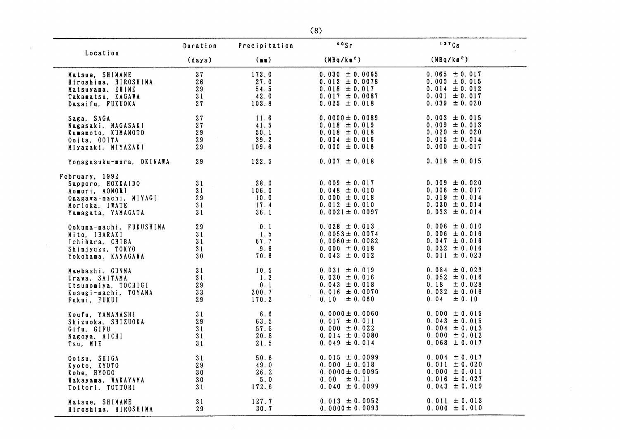|                                                                                                                        | Duration                   | Precipitation                         | 905r                                                                                                    | 137Cs                                                                                                    |
|------------------------------------------------------------------------------------------------------------------------|----------------------------|---------------------------------------|---------------------------------------------------------------------------------------------------------|----------------------------------------------------------------------------------------------------------|
| Location                                                                                                               | (days)                     | (n)                                   | (MBq/km <sup>2</sup> )                                                                                  | (MBq/km <sup>2</sup> )                                                                                   |
| Matsue, SHIMANE                                                                                                        | 37                         | 173.0                                 | $0.030 \pm 0.0065$                                                                                      | $0.065 \pm 0.017$                                                                                        |
| Hiroshima, HIROSHIMA                                                                                                   | 26                         | 27.0                                  | $0.013 \pm 0.0078$                                                                                      | $0.000 \pm 0.015$                                                                                        |
| Matsuyama, EHIME                                                                                                       | 29                         | 54.5                                  | $0.018 \pm 0.017$                                                                                       | $0.014 \pm 0.012$                                                                                        |
| Takamatsu, KAGAWA                                                                                                      | 31                         | 42.0                                  | $0.017 \pm 0.0087$                                                                                      | $0.001 \pm 0.017$                                                                                        |
| Dazaifu, FUKUOKA                                                                                                       | 27                         | 103.8                                 | $0.025 \pm 0.018$                                                                                       | $0.039 \pm 0.020$                                                                                        |
| Saga, SAGA                                                                                                             | 27                         | 11.6                                  | $0.0000 \pm 0.0089$                                                                                     | $0.003 \pm 0.015$                                                                                        |
| Nagasaki, NAGASAKI                                                                                                     | 27                         | 41.5                                  | $0.018 \pm 0.019$                                                                                       | $0.009 \pm 0.013$                                                                                        |
| Kumamoto, KUMAMOTO                                                                                                     | 29                         | 50.1                                  | $0.018 \pm 0.018$                                                                                       | $0.020 \pm 0.020$                                                                                        |
| Ooita. OOITA                                                                                                           | 29                         | 39.2                                  | $0.004 \pm 0.016$                                                                                       | $0.015 \pm 0.014$                                                                                        |
| Miyazaki, MIYAZAKI                                                                                                     | 29                         | 109.6                                 | $0.000 \pm 0.016$                                                                                       | $0.000 \pm 0.017$                                                                                        |
| Yonagusuku-mura, OKINAWA                                                                                               | 29                         | 122.5                                 | $0.007 \pm 0.018$                                                                                       | $0.018 \pm 0.015$                                                                                        |
| February, 1992<br>Sapporo, HOKKAIDO<br>Aomori, AOMORI<br>Onagawa-machi, MIYAGI<br>Morioka, IWATE<br>Yamagata, YAMAGATA | 31<br>31<br>29<br>31<br>31 | 28.0<br>106.0<br>10.0<br>17.4<br>36.1 | $0.009 \pm 0.017$<br>$0.048 \pm 0.010$<br>$0.000 \pm 0.018$<br>$0.012 \pm 0.010$<br>$0.0021 \pm 0.0097$ | $0.009 \pm 0.020$<br>$0.006 \pm 0.017$<br>$0.019 \pm 0.014$<br>$0.030 \pm 0.014$<br>$0.033 \pm 0.014$    |
| Ookuma-machi, FUKUSHIMA                                                                                                | 29                         | 0.1                                   | $0.028 \pm 0.013$                                                                                       | $0.006 \pm 0.010$                                                                                        |
| Mito, IBARAKI                                                                                                          | 31                         | 1.5                                   | $0.0053 \pm 0.0074$                                                                                     | $0.006 \pm 0.016$                                                                                        |
| Ichihara, CHIBA                                                                                                        | 31                         | 67.7                                  | $0.0060 \pm 0.0082$                                                                                     | $0.047 \pm 0.016$                                                                                        |
| Shinjyuku, TOKYO                                                                                                       | 31                         | 9.6                                   | $0.000 \pm 0.018$                                                                                       | $0.032 \pm 0.016$                                                                                        |
| Yokohama, KANAGAWA                                                                                                     | 30                         | 70.6                                  | $0.043 \pm 0.012$                                                                                       | $0.011 \pm 0.023$                                                                                        |
| Maebashi, GUNMA<br>Urawa, SAITAMA<br>Utsunomiya, TOCHIGI<br>Kosugi-machi, TOYAMA<br>Fukui, FUKUI                       | 31<br>31<br>29<br>33<br>29 | 10.5<br>1.3<br>0.1<br>200.7<br>170.2  | $0.031 \pm 0.019$<br>$0.030 \pm 0.016$<br>$0.043 \pm 0.018$<br>$0.016 \pm 0.0070$<br>$0.10 \pm 0.060$   | $0.084 \pm 0.023$<br>$0.052 \pm 0.016$<br>0.18<br>$\pm 0.028$<br>$0.032 \pm 0.016$<br>0.04<br>$\pm 0.10$ |
| Koufu, YAMANASHI                                                                                                       | 31                         | 6.6                                   | $0.0000 \pm 0.0060$                                                                                     | $0.000 \pm 0.015$                                                                                        |
| Shizuoka, SHIZUOKA                                                                                                     | 29                         | 63.5                                  | $0.017 \pm 0.011$                                                                                       | $0.043 \pm 0.015$                                                                                        |
| Gifu, GIFU                                                                                                             | 31                         | 57.5                                  | $0.000 \pm 0.022$                                                                                       | $0.004 \pm 0.013$                                                                                        |
| Nagoya, AICHI                                                                                                          | 31                         | 20.8                                  | $0.014 \pm 0.0080$                                                                                      | $0.000 \pm 0.012$                                                                                        |
| Tsu, MIE                                                                                                               | 31                         | 21.5                                  | $0.049 \pm 0.014$                                                                                       | $0.068 \pm 0.017$                                                                                        |
| Ootsu, SHIGA                                                                                                           | 31                         | 50.6                                  | $0.015 \pm 0.0099$                                                                                      | $0.004 \pm 0.017$                                                                                        |
| Kyoto, KYOTO                                                                                                           | 29                         | 49.0                                  | $0.000 \pm 0.018$                                                                                       | $0.011 \pm 0.020$                                                                                        |
| Kobe. HYOGO                                                                                                            | 30                         | 26.2                                  | $0.0000 \pm 0.0095$                                                                                     | $0.000 \pm 0.011$                                                                                        |
| Wakayama, WAKAYAMA                                                                                                     | 30                         | 5.0                                   | $0.00 \pm 0.11$                                                                                         | $0.016 \pm 0.027$                                                                                        |
| Tottori, TOTTORI                                                                                                       | 31                         | 172.6                                 | $0.040 \pm 0.0099$                                                                                      | $0.043 \pm 0.019$                                                                                        |
| Matsue, SHIMANE                                                                                                        | 31                         | 127.7                                 | $0.013 \pm 0.0052$                                                                                      | $0.011 \pm 0.013$                                                                                        |
| Hiroshima, HIROSHIMA                                                                                                   | 29                         | 30.7                                  | $0.0000 \pm 0.0093$                                                                                     | $0.000 \pm 0.010$                                                                                        |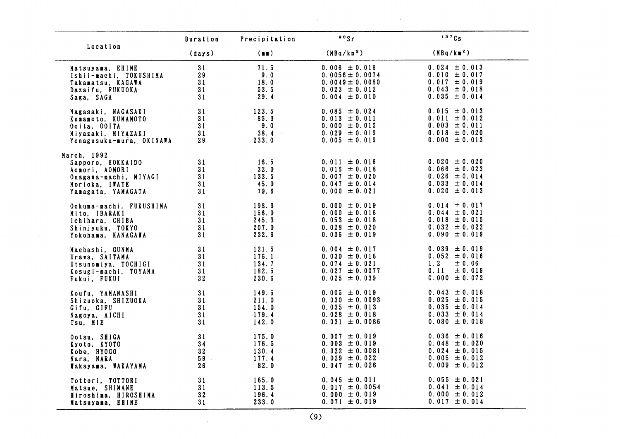|                                                                                                                     | Duration                   | Precipitation                             | 00Sr                                                                                                   | 137Cs                                                                                                 |
|---------------------------------------------------------------------------------------------------------------------|----------------------------|-------------------------------------------|--------------------------------------------------------------------------------------------------------|-------------------------------------------------------------------------------------------------------|
| Location                                                                                                            | (days)                     | (m)                                       | (MBq/km <sup>2</sup> )                                                                                 | (MBq/km <sup>2</sup> )                                                                                |
| Matsuyama, EHIME                                                                                                    | 31                         | 71.5                                      | $0.006 \pm 0.016$                                                                                      | $0.024 \pm 0.013$                                                                                     |
| Ishii-machi. TOKUSHIMA                                                                                              | 29                         | 9.0                                       | $0.0056 \pm 0.0074$                                                                                    | $0.010 \pm 0.017$                                                                                     |
| Takamatsu, KAGAWA                                                                                                   | 31                         | 18.0                                      | $0.0049 \pm 0.0080$                                                                                    | $0.017 \pm 0.019$                                                                                     |
| Dazaifu, FUKUOKA                                                                                                    | 31                         | 53.5                                      | $0.023 \pm 0.012$                                                                                      | $0.043 \pm 0.018$                                                                                     |
| Saga, SAGA                                                                                                          | 31                         | 29.4                                      | $0.004 \pm 0.010$                                                                                      | $0.035 \pm 0.014$                                                                                     |
| Nagasaki, NAGASAKI                                                                                                  | 31                         | 123.5                                     | $0.085 \pm 0.024$                                                                                      | $0.015 \pm 0.013$                                                                                     |
| Kumamoto, KUMAMOTO                                                                                                  | 31                         | 85.3                                      | $0.013 \pm 0.011$                                                                                      | $0.011 \pm 0.012$                                                                                     |
| Ooita, OOITA                                                                                                        | 31                         | 9.0                                       | $0.000 \pm 0.015$                                                                                      | $0.003 \pm 0.011$                                                                                     |
| Miyazaki, MIYAZAKI                                                                                                  | 31                         | 38.4                                      | $0.029 \pm 0.019$                                                                                      | $0.018 \pm 0.020$                                                                                     |
| Yonagusuku-mura, OKINAWA                                                                                            | 29                         | 233.0                                     | $0.005 \pm 0.019$                                                                                      | $0.000 \pm 0.013$                                                                                     |
| March, 1992<br>Sapporo, HOKKAIDO<br>Aomori, AOMORI<br>Onagawa-machi, MIYAGI<br>Morioka, IWATE<br>Yamagata, YAMAGATA | 31<br>31<br>31<br>31<br>31 | 16.5<br>32.0<br>133.5<br>45.0<br>79.6     | $0.011 \pm 0.016$<br>$0.016 \pm 0.018$<br>$0.007 \pm 0.020$<br>$0.047 \pm 0.014$<br>$0.000 \pm 0.021$  | $0.020 \pm 0.020$<br>$0.066 \pm 0.023$<br>$0.026 \pm 0.014$<br>$0.033 \pm 0.014$<br>$0.020 \pm 0.013$ |
| Ookuma-machi, FUKUSHIMA                                                                                             | 31                         | 198.3                                     | $0.000 \pm 0.019$                                                                                      | $0.014 \pm 0.017$                                                                                     |
| Mito, IBARAKI                                                                                                       | 31                         | 156.0                                     | $0.000 \pm 0.016$                                                                                      | $0.044 \pm 0.021$                                                                                     |
| Ichihara, CHIBA                                                                                                     | 31                         | 245.3                                     | $0.053 \pm 0.018$                                                                                      | $0.018 \pm 0.015$                                                                                     |
| Shinjyuku, TOKYO                                                                                                    | 31                         | 207.0                                     | $0.028 \pm 0.020$                                                                                      | $0.032 \pm 0.022$                                                                                     |
| Yokohama, KANAGAWA                                                                                                  | 31                         | 232.6                                     | $0.036 \pm 0.019$                                                                                      | $0.090 \pm 0.019$                                                                                     |
| Maebashi, GUNMA<br>Urawa, SAITAMA<br>Utsunomiya, TOCHIGI<br>Kosugi-machi, TOYAMA<br>Fukui, FUKUI                    | 31<br>31<br>31<br>31<br>32 | 121.5<br>176.1<br>134.7<br>182.5<br>230.6 | $0.004 \pm 0.017$<br>$0.030 \pm 0.016$<br>$0.074 \pm 0.021$<br>$0.027 \pm 0.0077$<br>$0.025 \pm 0.039$ | $0.039 \pm 0.019$<br>$0.052 \pm 0.016$<br>1.2<br>$\pm$ 0.06<br>$0.11 \pm 0.019$<br>$0.000 \pm 0.072$  |
| Koufu, YAMANASHI                                                                                                    | 31                         | 149.5                                     | $0.005 \pm 0.019$                                                                                      | $0.043 \pm 0.018$                                                                                     |
| Shizuoka, SHIZUOKA                                                                                                  | 31                         | 211.0                                     | $0.030 \pm 0.0093$                                                                                     | $0.025 \pm 0.015$                                                                                     |
| Gifu, GIFU                                                                                                          | 31                         | 154.0                                     | $0.035 \pm 0.013$                                                                                      | $0.035 \pm 0.014$                                                                                     |
| Nagoya, AICHI                                                                                                       | 31                         | 179.4                                     | $0.028 \pm 0.018$                                                                                      | $0.033 \pm 0.014$                                                                                     |
| Tsu, MIE                                                                                                            | 31                         | 142.0                                     | $0.031 \pm 0.0086$                                                                                     | $0.080 \pm 0.018$                                                                                     |
| Ootsu, SHIGA                                                                                                        | 31                         | 175.0                                     | $0.007 \pm 0.019$                                                                                      | $0.036 \pm 0.016$                                                                                     |
| Kyoto. KYOTO                                                                                                        | 34                         | 176.5                                     | $0.003 \pm 0.019$                                                                                      | $0.048 \pm 0.020$                                                                                     |
| Kobe, HYOGO                                                                                                         | $32^{\circ}$               | 130.4                                     | $0.022 \pm 0.0081$                                                                                     | $0.024 \pm 0.015$                                                                                     |
| Nara, NARA                                                                                                          | 59                         | 177.4                                     | $0.029 \pm 0.022$                                                                                      | $0.005 \pm 0.012$                                                                                     |
| Wakayama, WAKAYAMA                                                                                                  | 26                         | 82.0                                      | $0.047 \pm 0.026$                                                                                      | $0.009 \pm 0.012$                                                                                     |
| Tottori, TOTTORI                                                                                                    | 31                         | 165.0                                     | $0.045 \pm 0.011$                                                                                      | $0.055 \pm 0.021$                                                                                     |
| Matsue. SHIMANE                                                                                                     | 31                         | 113.5                                     | $0.017 \pm 0.0054$                                                                                     | $0.041 \pm 0.014$                                                                                     |
| Hiroshima, HIROSHIMA                                                                                                | 32                         | 196.4                                     | $0.000 \pm 0.019$                                                                                      | $0.000 \pm 0.012$                                                                                     |
| Matsuyama, EHIME                                                                                                    | 31                         | 233.0                                     | $0.071 \pm 0.019$                                                                                      | $0.017 \pm 0.014$                                                                                     |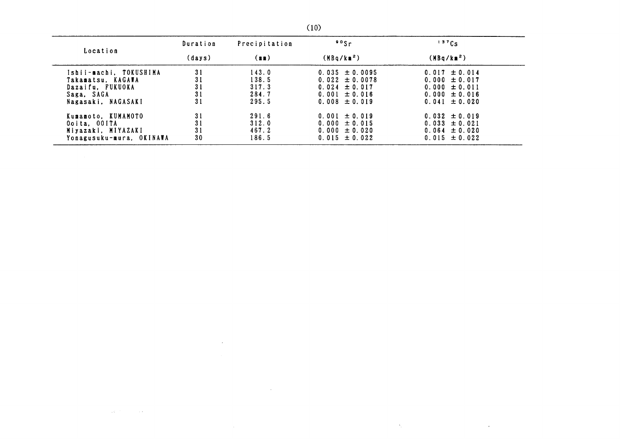| Location                 | Duration | Precipitation | $\frac{90}{5}$         | 137Cs                  |
|--------------------------|----------|---------------|------------------------|------------------------|
|                          | (days)   | (m)           | (MBa/Ka <sup>2</sup> ) | (MBq/km <sup>2</sup> ) |
| Ishii-machi. TOKUSHIMA   | 31       | 143.0         | $0.035 \pm 0.0095$     | $0.017 \pm 0.014$      |
| Takamatsu. KAGAWA        | 31       | 138.5         | $0.022 \pm 0.0078$     | $0.000 \pm 0.017$      |
| Dazaifu. FUKUOKA         | 31       | 317.3         | $0.024 \pm 0.017$      | $0.000 \pm 0.011$      |
| Saga. SAGA               | 31       | 284.7         | $0.001 \pm 0.016$      | $0.000 \pm 0.016$      |
| Nagasaki, NAGASAKI       | 31       | 295.5         | $0.008 \pm 0.019$      | $0.041 \pm 0.020$      |
| Kumamoto, KUMAMOTO       | 31       | 291.6         | $0.001 \pm 0.019$      | $0.032 \pm 0.019$      |
| Ooita. 00ITA             | 31       | 312.0         | $0.000 \pm 0.015$      | $0.033 \pm 0.021$      |
| Miyazaki. MIYAZAKI       | 31       | 467.2         | $0.000 \pm 0.020$      | $0.064 \pm 0.020$      |
| Yonagusuku-mura, OKINAWA | 30       | 186.5         | $0.015 \pm 0.022$      | $0.015 \pm 0.022$      |

 $\mathcal{A}_1$  ,  $\mathcal{A}_2$ 

 $\sim$ 

 $\sim$ 

 $\sim 10^{-10}$ 

 $\sim 100$ 

 $\sim$   $\epsilon$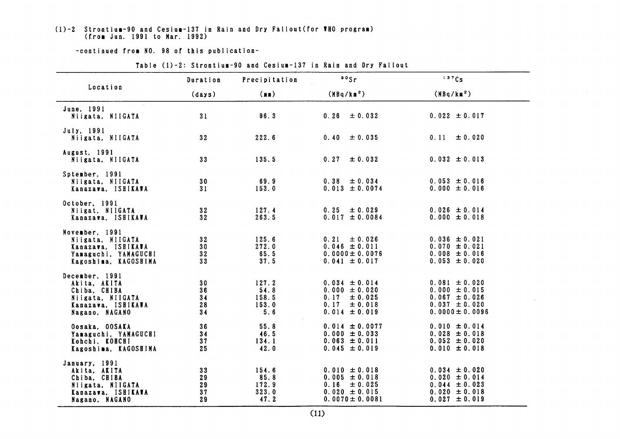### (1)-2 Strontium-90 and Cesium-137 in Rain and Dry Fallout(for WHO program)<br>(from Jun. 1991 to Mar. 1992)

#### -continued from NO. 98 of this publication-

|                                                                                                            | Duration                   | Precipitation                           | 90Sr                                                                                                   | 137Cs                                                                                                   |
|------------------------------------------------------------------------------------------------------------|----------------------------|-----------------------------------------|--------------------------------------------------------------------------------------------------------|---------------------------------------------------------------------------------------------------------|
| Location                                                                                                   | (days)                     | (m)                                     | (MBq/km <sup>2</sup> )                                                                                 | (MBq/km <sup>2</sup> )                                                                                  |
| June, 1991<br>Niigata, NIIGATA                                                                             | 31                         | 96.3                                    | ± 0.032<br>0.26                                                                                        | $0.022 \pm 0.017$                                                                                       |
| July, 1991<br>Niigata, NIIGATA                                                                             | 32                         | 222.6                                   | $0.40 \pm 0.035$                                                                                       | $0.11 \pm 0.020$                                                                                        |
| August, 1991<br>Niigata, NIIGATA                                                                           | 33                         | 135.5                                   | 0.27<br>$\pm 0.032$                                                                                    | $0.032 \pm 0.013$                                                                                       |
| Sptember, 1991<br>Niigata, NIIGATA<br>Kanazava, ISHIKAWA                                                   | 30<br>31                   | 69.9<br>153.0                           | $0.38 \pm 0.034$<br>$0.013 \pm 0.0074$                                                                 | $0.053 \pm 0.016$<br>$0.000 \pm 0.016$                                                                  |
| October, 1991<br>Niigat. NIIGATA<br>Kanazawa, ISHIKAWA                                                     | 32<br>32                   | 127.4<br>263.5                          | $0.25 \pm 0.029$<br>$0.017 \pm 0.0084$                                                                 | $0.026 \pm 0.014$<br>$0.000 \pm 0.018$                                                                  |
| November, 1991<br>Niigata, NIIGATA<br>Kanazawa. ISHIKAWA<br>Yamaguchi, YAMAGUCHI<br>Kagoshima, KAGOSHIMA   | 32<br>30<br>32<br>33       | 125.6<br>272.0<br>65.5<br>37.5          | $0.21 \pm 0.026$<br>$0.046 \pm 0.011$<br>$0.0000 \pm 0.0076$<br>$0.041 \pm 0.017$                      | $0.036 \pm 0.021$<br>$0.070 \pm 0.021$<br>$0.008 \pm 0.016$<br>$0.053 \pm 0.020$                        |
| December, 1991<br>Akita, AKITA<br>Chiba, CHIBA<br>Niigata, NIIGATA<br>Kanazava, ISHIKAWA<br>Nagano, NAGANO | 30<br>36<br>34<br>28<br>34 | 127.2<br>54.8<br>158.5<br>153.0<br>5.6  | $0.034 \pm 0.014$<br>$0.000 \pm 0.020$<br>$0.17 \pm 0.025$<br>0.17<br>± 0.018<br>$0.014 \pm 0.019$     | $0.081 \pm 0.020$<br>$0.000 \pm 0.015$<br>$0.067 \pm 0.026$<br>$0.037 \pm 0.020$<br>$0.0000 \pm 0.0096$ |
| Oosaka, OOSAKA<br>Yamaguchi, YAMAGUCHI<br>Kohchi, KOHCHI<br>Kagoshima, KAGOSHIMA                           | 36<br>34<br>37<br>25       | 55.8<br>46.5<br>134.1<br>42.0           | $0.014 \pm 0.0077$<br>$0.000 \pm 0.033$<br>$0.063 \pm 0.011$<br>$0.045 \pm 0.019$                      | $0.010 \pm 0.014$<br>$0.028 \pm 0.018$<br>$0.052 \pm 0.020$<br>$0.010 \pm 0.018$                        |
| January, 1991<br>Akita, AKITA<br>Chiba, CHIBA<br>Niigata, NIIGATA<br>Kanazawa, ISHIKAWA<br>Nagano, NAGANO  | 33<br>29<br>29<br>37<br>29 | 154.6<br>85.8<br>172.9<br>323.0<br>47.2 | $0.010 \pm 0.018$<br>$0.005 \pm 0.018$<br>$0.16 \pm 0.025$<br>$0.020 \pm 0.015$<br>$0.0070 \pm 0.0081$ | $0.034 \pm 0.020$<br>$0.020 \pm 0.014$<br>$0.044 \pm 0.023$<br>$0.020 \pm 0.018$<br>$0.027 \pm 0.019$   |

#### Table (1)-2: Strontium-90 and Cesium-137 in Rain and Dry Fallout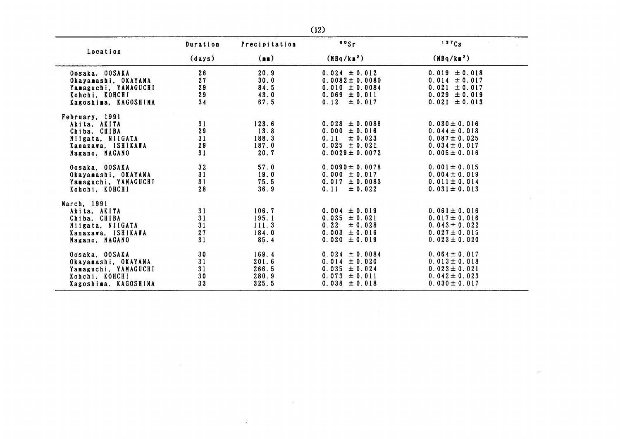| Location                                                                                                   | Duration                   | Precipitation                             | $90$ Sr                                                                                                    | 137Cs                                                                                                 |
|------------------------------------------------------------------------------------------------------------|----------------------------|-------------------------------------------|------------------------------------------------------------------------------------------------------------|-------------------------------------------------------------------------------------------------------|
|                                                                                                            | (days)                     | (n)                                       | $(MBq/kn^2)$                                                                                               | (MBq/km <sup>2</sup> )                                                                                |
| Oosaka, OOSAKA<br>Okayamashi. OKAYAMA<br>Yamaguchi, YAMAGUCHI<br>Kohchi, KOHCHI<br>Kagoshima, KAGOSHIMA    | 26<br>27<br>29<br>29<br>34 | 20.9<br>30.0<br>84.5<br>43.0<br>67.5      | $0.024 \pm 0.012$<br>$0.0082 \pm 0.0080$<br>$0.010 \pm 0.0084$<br>$0.069 \pm 0.011$<br>$0.12 \pm 0.017$    | $0.019 \pm 0.018$<br>$0.014 \pm 0.017$<br>$0.021 \pm 0.017$<br>$0.029 \pm 0.019$<br>$0.021 \pm 0.013$ |
| February, 1991<br>Akita, AKITA<br>Chiba, CHIBA<br>Niigata. NIIGATA<br>Kanazawa, ISHIKAWA<br>Nagano, NAGANO | 31<br>29<br>31<br>29<br>31 | 123.6<br>13.8<br>188.3<br>187.0<br>20.7   | $0.028 \pm 0.0086$<br>$0.000 \pm 0.016$<br>0.11<br>$\pm 0.023$<br>$0.025 \pm 0.021$<br>$0.0029 \pm 0.0072$ | $0.030 \pm 0.016$<br>$0.044 \pm 0.018$<br>$0.087 \pm 0.025$<br>$0.034 \pm 0.017$<br>$0.005 \pm 0.016$ |
| Oosaka, OOSAKA<br>Okayamashi. OKAYAMA<br>Yamaguchi, YAMAGUCHI<br>Kohchi, KOHCHI                            | 32<br>31<br>31<br>28       | 57.0<br>19.0<br>75.5<br>36.9              | $0.0090 \pm 0.0078$<br>$0.000 \pm 0.017$<br>$0.017 \pm 0.0083$<br>0.11<br>$\pm 0.022$                      | $0.001 \pm 0.015$<br>$0.004 \pm 0.019$<br>$0.011 \pm 0.014$<br>$0.031 \pm 0.013$                      |
| March, 1991<br>Akita, AKITA<br>Chiba, CHIBA<br>Niigata, NIIGATA<br>Kanazawa. ISHIKAWA<br>Nagano. NAGANO    | 31<br>31<br>31<br>27<br>31 | 106.7<br>195.1<br>111.3<br>184.0<br>85.4  | $0.004 \pm 0.019$<br>$0.035 \pm 0.021$<br>$0.22 \pm 0.028$<br>$0.003 \pm 0.016$<br>$0.020 \pm 0.019$       | $0.061 \pm 0.016$<br>$0.017 \pm 0.016$<br>$0.043 \pm 0.022$<br>$0.027 \pm 0.015$<br>$0.023 \pm 0.020$ |
| Oosaka, OOSAKA<br>Okayamashi. OKAYAMA<br>Yamaguchi, YAMAGUCHI<br>Kohchi, KOHCHI<br>Kagoshima. KAGOSHIMA    | 30<br>31<br>31<br>30<br>33 | 169.4<br>201.6<br>266.5<br>280.9<br>325.5 | $0.024 \pm 0.0084$<br>$0.014 \pm 0.020$<br>$0.035 \pm 0.024$<br>$0.073 \pm 0.011$<br>$0.038 \pm 0.018$     | $0.064 \pm 0.017$<br>$0.013 \pm 0.018$<br>$0.023 \pm 0.021$<br>$0.042 \pm 0.023$<br>$0.030 \pm 0.017$ |

 $\sim$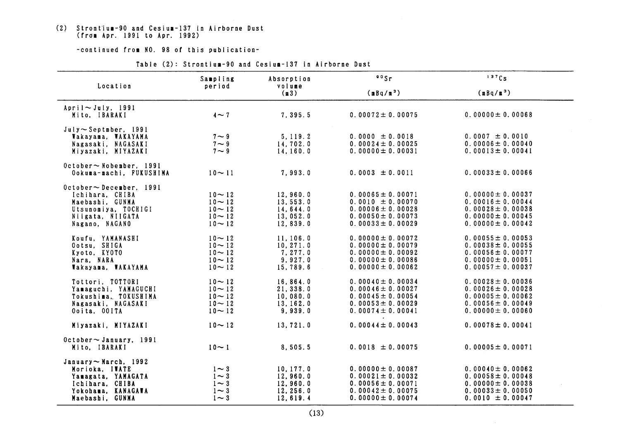# (2) Strontium-90 and Cesium-137 in Airborne Dust<br>(from Apr. 1991 to Apr. 1992)

#### -continued from NO. 98 of this publication-

|                                                                                                                                   | Sampling                                                      | Absorption                                                | 90Sr                                                                                                                      | 137Cs                                                                                                                     |
|-----------------------------------------------------------------------------------------------------------------------------------|---------------------------------------------------------------|-----------------------------------------------------------|---------------------------------------------------------------------------------------------------------------------------|---------------------------------------------------------------------------------------------------------------------------|
| Location                                                                                                                          | period                                                        | volume<br>(m3)                                            | $(mBq/m^3)$                                                                                                               | $(mBq/m^3)$                                                                                                               |
| April $\sim$ July, 1991<br>Mito, IBARAKI                                                                                          | $4\sim7$                                                      | 7,395.5                                                   | $0.00072 \pm 0.00075$                                                                                                     | $0.00000 \pm 0.00068$                                                                                                     |
| $July \sim Septaber, 1991$<br>Wakayama, WAKAYAMA<br>Nagasaki, NAGASAKI<br>Miyazaki, MIYAZAKI                                      | $7 \sim 9$<br>$7 \sim 9$<br>$7 - 9$                           | 5, 119.2<br>14,702.0<br>14,160.0                          | $0.0000 \pm 0.0018$<br>$0.00024 \pm 0.00025$<br>$0.00000 \pm 0.00031$                                                     | $0.0007 \pm 0.0010$<br>$0.00006 \pm 0.00040$<br>$0.00013 \pm 0.00041$                                                     |
| $0$ ctober $\sim$ Nobember, 1991<br>Ookuma-machi, FUKUSHIMA                                                                       | $10 - 11$                                                     | 7,993.0                                                   | $0.0003 \pm 0.0011$                                                                                                       | $0.00033 \pm 0.00066$                                                                                                     |
| $October \sim Dece$ mber, 1991<br>Ichihara, CHIBA<br>Maebashi, GUNMA<br>Utsunomiya. TOCHIGI<br>Niigata, NIIGATA<br>Nagano, NAGANO | $10 - 12$<br>$10 - 12$<br>$10 - 12$<br>$10 - 12$<br>$10 - 12$ | 12,960.0<br>13,553.0<br>14, 644.0<br>13,052.0<br>12,839.0 | $0.00065 \pm 0.00071$<br>$0.0010 \pm 0.00070$<br>0.00006 $\pm$ 0.00028<br>0.00050 $\pm$ 0.00073<br>$0.00033 \pm 0.00029$  | $0.00000 \pm 0.00037$<br>$0.00016 \pm 0.00044$<br>$0.00028 \pm 0.00038$<br>$0.00000 \pm 0.00045$<br>$0.00000 \pm 0.00042$ |
| Koufu, YAMANASHI<br>Ootsu, SHIGA<br>Kyoto, KYOTO<br>Nara, NARA<br>Wakayama, WAKAYAMA                                              | $10 - 12$<br>$10 - 12$<br>$10 - 12$<br>$10 - 12$<br>$10 - 12$ | 11, 106.0<br>10, 271.0<br>7, 277.0<br>9,927.0<br>15,789.6 | $0.00000 \pm 0.00072$<br>$0.00000 \pm 0.00079$<br>$0.00000 \pm 0.00092$<br>$0.00000 \pm 0.00086$<br>$0.00000 \pm 0.00062$ | $0.00055 \pm 0.00053$<br>$0.00038 \pm 0.00055$<br>$0.00056 \pm 0.00077$<br>$0.00000 \pm 0.00051$<br>$0.00057 \pm 0.00037$ |
| Tottori, TOTTORI<br>Yamaguchi, YAMAGUCHI<br>Tokushima, TOKUSHIMA<br>Nagasaki, NAGASAKI<br>Ooita, OOITA                            | $10 - 12$<br>$10 - 12$<br>$10 - 12$<br>$10 - 12$<br>$10 - 12$ | 16,864.0<br>21, 338.0<br>10,080.0<br>13.162.0<br>9,939.0  | $0.00040 \pm 0.00034$<br>0.00046 $\pm$ 0.00027<br>$0.00045 \pm 0.00054$<br>0.00053 $\pm$ 0.00029<br>$0.00074 \pm 0.00041$ | $0.00028 \pm 0.00036$<br>$0.00026 \pm 0.00028$<br>$0.00005 \pm 0.00062$<br>$0.00056 \pm 0.00049$<br>$0.00000 \pm 0.00060$ |
| Miyazaki, MIYAZAKI                                                                                                                | $10 - 12$                                                     | 13,721.0                                                  | $0.00044 \pm 0.00043$                                                                                                     | $0.00078 \pm 0.00041$                                                                                                     |
| October $\sim$ January, 1991<br>Mito, IBARAKI                                                                                     | $10 - 1$                                                      | 8,505.5                                                   | $0.0018 \pm 0.00075$                                                                                                      | $0.00005 \pm 0.00071$                                                                                                     |
| January $\sim$ March, 1992<br>Morioka, IWATE<br>Yamagata, YAMAGATA<br>Ichihara, CHIBA<br>Yokohama, KANAGAWA<br>Maebashi, GUNMA    | $1 \sim 3$<br>$1 \sim 3$<br>$1 - 3$<br>$1 \sim 3$<br>$1 - 3$  | 10, 177.0<br>12,960.0<br>12,960.0<br>12,256.0<br>12,619.4 | $0.00000 \pm 0.00087$<br>$0.00021 \pm 0.00032$<br>$0.00056 \pm 0.00071$<br>0.00042 $\pm$ 0.00075<br>$0.00000 \pm 0.00074$ | $0.00040 \pm 0.00062$<br>$0.00058 \pm 0.00048$<br>$0.00000 \pm 0.00038$<br>$0.00033 \pm 0.00050$<br>$0.0010 \pm 0.00047$  |

#### Table (2): Strontium-90 and Cesium-137 in Airborne Dust

 $\sim 10^7$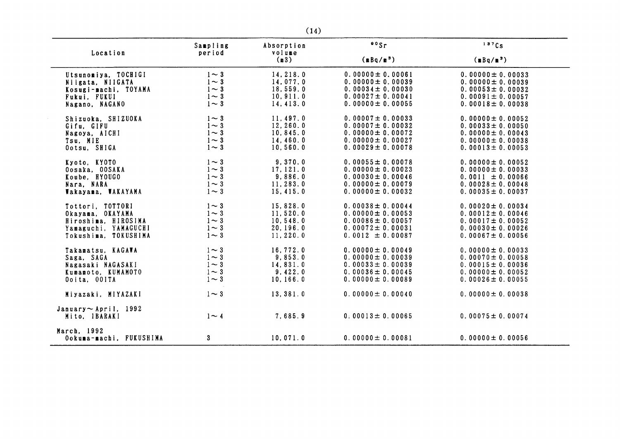| Location                                    | Sampling<br>period | Absorption<br>volume | 80Sr                  | 137Cs                 |
|---------------------------------------------|--------------------|----------------------|-----------------------|-----------------------|
|                                             |                    | (m3)                 | $(mBq/m^3)$           | $(nBq/n^3)$           |
| Utsunomiya, TOCHIGI                         | $1\sim 3$          | 14, 218.0            | $0.00000 \pm 0.00061$ | $0.00000 \pm 0.00033$ |
| Niigata, NIIGATA                            | $1 - 3$            | 14,077.0             | $0.00000 \pm 0.00039$ | $0.00000 \pm 0.00039$ |
| Kosugi-machi, TOYAMA                        | $1\sim 3$          | 18,559.0             | $0.00034 \pm 0.00030$ | $0.00053 \pm 0.00032$ |
| Fukui, FUKUI                                | $1 - 3$            | 10, 911.0            | $0.00027 \pm 0.00041$ | $0.00091 \pm 0.00057$ |
| Nagano, NAGANO                              | $1 - 3$            | 14, 413.0            | $0.00000 \pm 0.00055$ | $0.00018 \pm 0.00038$ |
| Shizuoka, SHIZUOKA                          | $1\sim 3$          | 11, 497.0            | $0.00007 \pm 0.00033$ | $0.00000 \pm 0.00052$ |
| Gifu, GIFU                                  | $1\sim 3$          | 12, 260.0            | $0.00007 \pm 0.00032$ | $0.00033 \pm 0.00050$ |
| Nagoya, AICHI                               | $1 - 3$            | 10, 845.0            | $0.00000 \pm 0.00072$ | $0.00000 \pm 0.00043$ |
| Tsu. MIE                                    | $1\sim 3$          | 14,460.0             | $0.00000 \pm 0.00027$ | $0.00000 \pm 0.00038$ |
| Ootsu, SHIGA                                | $1 - 3$            | 10, 560.0            | $0.00029 \pm 0.00078$ | $0.00013 \pm 0.00053$ |
| Kyoto, KYOTO                                | $1\sim 3$          | 9,370.0              | $0.00055 \pm 0.00078$ | $0.00000 \pm 0.00052$ |
| Oosaka, OOSAKA                              | $1\sim 3$          | 17, 121.0            | $0.00000 \pm 0.00023$ | $0.00000 \pm 0.00033$ |
| Koube, HYOUGO                               | $1\sim 3$          | 9,886.0              | $0.00030 \pm 0.00046$ | $0.0011 \pm 0.00066$  |
| Nara, NARA                                  | $1 \sim 3$         | 11,283.0             | $0.00000 \pm 0.00079$ | $0.00028 \pm 0.00048$ |
| Wakayama, WAKAYAMA                          | $1 - 3$            | 15.415.0             | $0.00000 \pm 0.00032$ | $0.00035 \pm 0.00037$ |
| Tottori, TOTTORI                            | $1 - 3$            | 15,828.0             | $0.00038 \pm 0.00044$ | $0.00020 \pm 0.00034$ |
| Okayama, OKAYAMA                            | $1\sim 3$          | 11, 520.0            | $0.00000 \pm 0.00053$ | $0.00012 \pm 0.00046$ |
| Hiroshima, HIROSIMA                         | $1 - 3$            | 10, 548.0            | $0.00086 \pm 0.00057$ | 0.00017 $\pm$ 0.00052 |
| Yamaguchi, YAMAGUCHI                        | $1 - 3$            | 20, 196.0            | $0.00072 \pm 0.00031$ | $0.00030 \pm 0.00026$ |
| Tokushima, TOKUSHIMA                        | $1 \sim 3$         | 11,220.0             | $0.0012 \pm 0.00087$  | $0.00067 \pm 0.00056$ |
| Takamatsu, KAGAWA                           | $1\sim 3$          | 16,772.0             | $0.00000 \pm 0.00049$ | $0.00000 \pm 0.00033$ |
| Saga, SAGA                                  | $1 - 3$            | 9,853.0              | $0.00000 \pm 0.00039$ | 0.00070 $\pm$ 0.00058 |
| Nagasaki NAGASAKI                           | $1 \sim 3$         | 14,831.0             | $0.00033 \pm 0.00039$ | $0.00015 \pm 0.00036$ |
| Kumamoto. KUMAMOTO                          | $1 - 3$            | 9,422.0              | $0.00036 \pm 0.00045$ | $0.00000 \pm 0.00052$ |
| Ooita, OOITA                                | $1 - 3$            | 10, 166.0            | $0.00000 \pm 0.00089$ | $0.00026 \pm 0.00055$ |
| Miyazaki, MIYAZAKI                          | $1\sim 3$          | 13, 381.0            | $0.00000 \pm 0.00040$ | $0.00000 \pm 0.00038$ |
| January $\sim$ April, 1992<br>Mito, IBARAKI | $1 - 4$            | 7,685.9              | $0.00013 \pm 0.00065$ | $0.00075 \pm 0.00074$ |
| March, 1992<br>Ookuma-machi, FUKUSHIMA      | 3                  | 10,071.0             | $0.00000 \pm 0.00081$ | $0.00000 \pm 0.00056$ |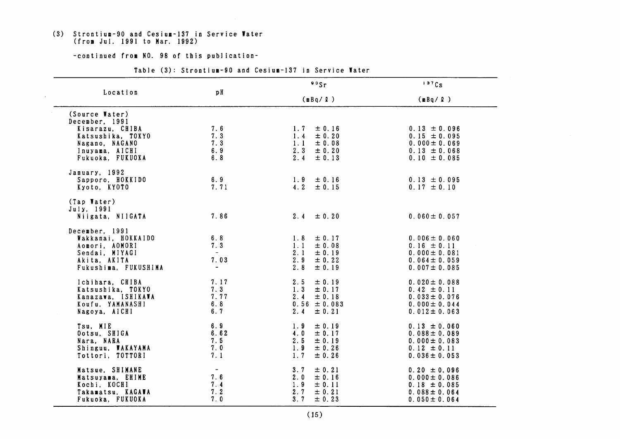# (3) Strontium-90 and Cesium-137 in Service Water<br>(from Jul. 1991 to Mar. 1992)

-continued from NO. 98 of this publication-

|                                                                                                                                  |                                                | $\frac{90}{s}$ r                                                                             | 137Cs                                                                                               |
|----------------------------------------------------------------------------------------------------------------------------------|------------------------------------------------|----------------------------------------------------------------------------------------------|-----------------------------------------------------------------------------------------------------|
| Location                                                                                                                         | pH                                             | (mBq/R)                                                                                      | (mBq / Q)                                                                                           |
| (Source Water)<br>December, 1991<br>Kisarazu, CHIBA<br>Katsushika, TOKYO<br>Nagano, NAGANO<br>Inuyama, AICHI<br>Fukuoka, FUKUOKA | 7.6<br>7.3<br>7.3<br>6.9<br>6.8                | ± 0.16<br>1.7<br>1.4<br>$\pm$ 0.20<br>1.1<br>± 0.08<br>$2.3 \pm 0.20$<br>2.4<br>± 0.13       | $0.13 \pm 0.096$<br>$0.15 \pm 0.095$<br>$0.000 \pm 0.069$<br>$0.13 \pm 0.068$<br>$0.10 \pm 0.085$   |
| January, 1992<br>Sapporo, HOKKIDO<br>Kyoto, KYOTO                                                                                | 6.9<br>7.71                                    | $\pm$ 0.16<br>1.9<br>4.2 $\pm$ 0.15                                                          | $0.13 \pm 0.095$<br>$0.17 \pm 0.10$                                                                 |
| (Tap Water)<br>July, 1991<br>Niigata, NIIGATA                                                                                    | 7.86                                           | $2.4 \pm 0.20$                                                                               | $0.060 \pm 0.057$                                                                                   |
| December, 1991<br>Wakkanai, HOKKAIDO<br>Aomori, AOMORI<br>Sendai, MIYAGI<br>Akita, AKITA<br>Fukushima, FUKUSHIMA                 | 6.8<br>7.3<br>$\sim$<br>7.03<br>$\blacksquare$ | ± 0.17<br>1.8<br>± 0.08<br>1.1<br>2.1<br>$\pm$ 0.19<br>2.9<br>$\pm$ 0.22<br>2.8<br>± 0.19    | $0.006 \pm 0.060$<br>$0.16 \pm 0.11$<br>$0.000 \pm 0.081$<br>$0.064 \pm 0.059$<br>$0.007 \pm 0.085$ |
| Ichihara, CHIBA<br>Katsushika, TOKYO<br>Kanazawa, ISHIKAWA<br>Koufu, YAMANASHI<br>Nagoya, AICHI                                  | 7.17<br>7.3<br>7.77<br>6.8<br>6.7              | 2.5<br>± 0.19<br>1.3<br>$\pm 0.17$<br>2.4<br>$\pm$ 0.18<br>$0.56 \pm 0.083$<br>2.4<br>± 0.21 | $0.020 \pm 0.088$<br>$0.42 \pm 0.11$<br>$0.033 \pm 0.076$<br>$0.000 \pm 0.044$<br>$0.012 \pm 0.063$ |
| Tsu, MIE<br>Ootsu, SHIGA<br>Nara, NARA<br>Shinguu, WAKAYAMA<br>Tottori, TOTTORI                                                  | 6.9<br>6.62<br>7.5<br>7.0<br>7.1               | ± 0.19<br>1.9<br>4.0<br>$\pm 0.17$<br>2.5<br>± 0.19<br>1.9<br>± 0.26<br>1.7<br>± 0.26        | $0.13 \pm 0.060$<br>$0.088 \pm 0.089$<br>$0.000 \pm 0.083$<br>$0.12 \pm 0.11$<br>$0.036 \pm 0.053$  |
| Matsue, SHIMANE<br>Matsuyama, EHIME<br>Kochi, KOCHI<br>Takamatsu, KAGAWA<br>Fukuoka, FUKUOKA                                     | $\sim$<br>7.6<br>7.4<br>7.2<br>7.0             | 3.7<br>± 0.21<br>2.0<br>± 0.16<br>1.9<br>$\pm 0.11$<br>2.7<br>$\pm 0.21$<br>3.7<br>± 0.23    | $0.20 \pm 0.096$<br>$0.000 \pm 0.086$<br>$0.18 \pm 0.085$<br>$0.088 \pm 0.064$<br>$0.050 \pm 0.064$ |

Table (3): Strontium-90 and Cesium-137 in Service Water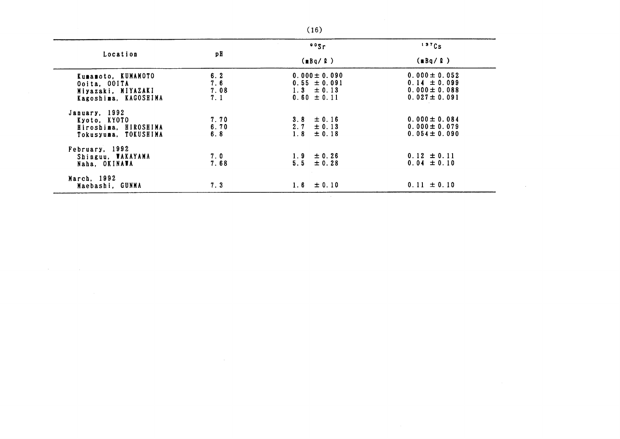|                      |                | 005r              | 137Cs             |
|----------------------|----------------|-------------------|-------------------|
| Location             | рH             | (mBq/R)           | (nBq/R)           |
| Kumamoto, KUMAMOTO   |                | $0.000 \pm 0.090$ | $0.000 \pm 0.052$ |
| Ooita, OOITA         | $6.2$<br>$7.6$ | $0.55 \pm 0.091$  | $0.14 \pm 0.099$  |
| Miyazaki, MIYAZAKI   | 7.08           | $1.3 \pm 0.13$    | $0.000 \pm 0.088$ |
| Kagoshima, KAGOSHIMA | 7.1            | $0.60 \pm 0.11$   | $0.027 \pm 0.091$ |
| January, 1992        |                |                   |                   |
| Kyoto, KYOTO         | 7.70           | $3.8 \pm 0.16$    | $0.000 \pm 0.084$ |
| Hiroshima, HIROSHIMA | 6.70           | $2.7 \pm 0.13$    | $0.000 \pm 0.079$ |
| Tokusyuma, TOKUSHIMA | 6.8            | $1.8 \pm 0.18$    | $0.054 \pm 0.090$ |
| February, 1992       |                |                   |                   |
| Shinguu, WAKAYAMA    | 7.0            | $1.9 \pm 0.26$    | $0.12 \pm 0.11$   |
| Naha. OKINAWA        | 7.68           | $5.5 \pm 0.28$    | $0.04 \pm 0.10$   |
| March, 1992          |                |                   |                   |
| Maebashi, GUNMA      | 7.3            | $1.6 \pm 0.10$    | $0.11 \pm 0.10$   |
|                      |                |                   |                   |

 $\mathcal{L}^{\text{max}}_{\text{max}}$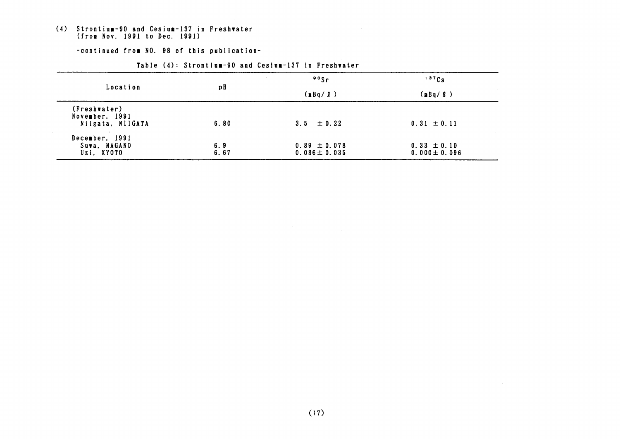#### (4) Strontium-90 and Cesium-137 in Freshwater (from Nov. 1991 to Dec. 1991)

#### -continued from NO. 98 of this publication-

|                                                    |             | $\cdot$ $\cdot$ $\cdot$               | 137Cs                                |  |
|----------------------------------------------------|-------------|---------------------------------------|--------------------------------------|--|
| Location                                           | рH          | (nBq/P)                               | (mBq/l)                              |  |
| (Freshwater)<br>November, 1991<br>Niigata, NIIGATA | 6.80        | $3.5 \pm 0.22$                        | $0.31 \pm 0.11$                      |  |
| December, 1991<br>Suwa, NAGANO<br>Uzi, KYOTO       | 6.9<br>6.67 | $0.89 \pm 0.078$<br>$0.036 \pm 0.035$ | $0.33 \pm 0.10$<br>$0.000 \pm 0.096$ |  |

#### Table (4): Strontium-90 and Cesium-137 in Freshwater

 $\mathcal{L}^{\text{max}}_{\text{max}}$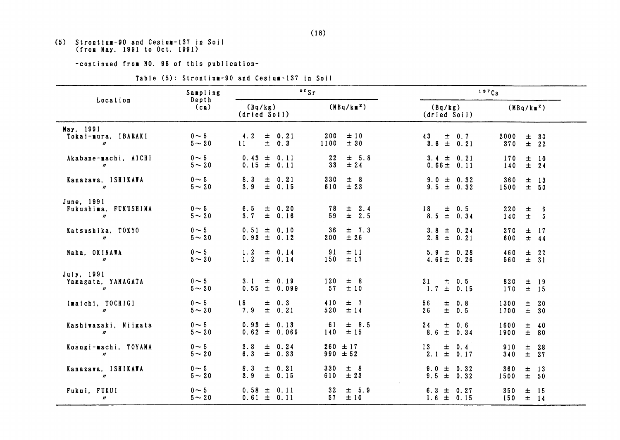(5) Strontium-90 and Cesium-137 in S (from May. 1991 to Oct. 1991)

-continued from NO. 96 of this publication-

|  |  | Table (5): Strontium-90 and Cesium-137 in Soil |  |  |  |  |
|--|--|------------------------------------------------|--|--|--|--|
|--|--|------------------------------------------------|--|--|--|--|

|                                                         | Sampling                | $\cdot$ $\cdot$ $\cdot$                |                                    |                                         | 137Cs                                                         |  |
|---------------------------------------------------------|-------------------------|----------------------------------------|------------------------------------|-----------------------------------------|---------------------------------------------------------------|--|
| Location                                                | Depth<br>(cn)           | (Bq/kg)<br>(dried Soil)                | (MBq/kB <sup>2</sup> )             | (Bq/kg)<br>(dried Soil)                 | $(MBq/kn^2)$                                                  |  |
| May, 1991<br>Tokai-mura, IBARAKI<br>$\boldsymbol{\eta}$ | $0 \sim 5$<br>$5\sim20$ | 4.2<br>$\pm$ 0.21<br>$\pm$ 0.3<br>11   | 200<br>±10<br>± 30<br>1100         | $\pm$ 0.7<br>43<br>$3.6 \pm 0.21$       | 2000<br>± 30<br>370<br>$\pm$ 22                               |  |
| Akabane-machi, AICHI<br>$\mathbf{v}$                    | $0 \sim 5$<br>$5\sim20$ | $0.43 \pm 0.11$<br>$0.15 \pm 0.11$     | 22<br>$\pm$ 5.8<br>33<br>±24       | 3.4 $\pm$ 0.21<br>$0.66 \pm 0.11$       | 170<br>±10<br>140<br>$\pm$ 24                                 |  |
| Kanazava, ISHIKAWA<br>$\mathbf{u}$                      | $0 \sim 5$<br>$5 - 20$  | 8.3<br>$\pm$ 0.21<br>$3.9 \pm 0.15$    | 330<br>± 8<br>$\pm$ 23<br>610      | $9.0 \pm 0.32$<br>$9.5 \pm 0.32$        | 360<br>$\pm$<br>13<br>± 50<br>1500                            |  |
| June, 1991<br>Fukushima, FUKUSHIMA<br>$\overline{u}$    | $0 \sim 5$<br>$5 - 20$  | 6.5<br>$\pm$ 0.20<br>3.7<br>$\pm$ 0.16 | 78<br>$\pm$ 2.4<br>59<br>$\pm$ 2.5 | $18 \pm 0.5$<br>$8.5 \pm 0.34$          | 220<br>土<br>$\overline{\phantom{a}}$ 6<br>$\pm$<br>140<br>- 5 |  |
| Katsushika, TOKYO<br>$\mathbf{u}$                       | $0 \sim 5$<br>$5\sim20$ | $0.51 \pm 0.10$<br>$0.93 \pm 0.12$     | 36<br>$\pm$ 7.3<br>±26<br>200      | $3.8 \pm 0.24$<br>$2.8 \pm 0.21$        | 270<br>$\pm$ 17<br>600<br>$±$ 44                              |  |
| Naha, OKINAWA<br>$\boldsymbol{\eta}$                    | $0 \sim 5$<br>$5\sim20$ | 1.2<br>$\pm$ 0.14<br>1.2<br>$\pm 0.14$ | 91<br>±11<br>± 17<br>150           | $5.9 \pm 0.28$<br>4.66 $\pm$ 0.26       | 460<br>$\pm$ 22<br>$\pm$ 31<br>560                            |  |
| July, 1991<br>Yamagata, YAMAGATA<br>$\mathbf{n}$        | $0 \sim 5$<br>$5 - 20$  | $3.1 \pm 0.19$<br>$0.55 \pm 0.099$     | 120<br>± 8<br>57<br>±10            | 21<br>$\pm$ 0.5<br>$1.7 \pm 0.15$       | 820<br>$±$ 19<br>170<br>$±$ 15                                |  |
| Imaichi, TOCHIGI<br>$\mathbf{n}$                        | $0 \sim 5$<br>$5\sim20$ | $\pm$ 0.3<br>18<br>$\pm$ 0.21<br>7.9   | 410<br>$\pm$ 7<br>520<br>±14       | 56<br>$\pm$ 0.8<br>$\pm$<br>26<br>0.5   | 1300<br>$\pm$ 20<br>1700<br>± 30                              |  |
| Kashiwazaki, Niigata<br>$\boldsymbol{n}$                | $0 \sim 5$<br>$5 - 20$  | $0.93 \pm 0.13$<br>$0.62 \pm 0.069$    | $\pm$ 8.5<br>61<br>±15<br>140      | 24<br>$\pm$<br>0.6<br>$\pm$ 0.34<br>8.6 | 1600<br>$\pm$ 40<br>1900<br>± 80                              |  |
| Kosugi-machi, TOYAMA<br>$\boldsymbol{n}$                | $0 \sim 5$<br>$5 - 20$  | $3.8 \pm 0.24$<br>$6.3 \pm 0.33$       | 260<br>±17<br>$990 \pm 52$         | $\pm$ 0.4<br>13<br>$2.1 \pm 0.17$       | $±$ 28<br>910<br>340<br>$\pm$ 27                              |  |
| Kanazawa, ISHIKAWA<br>$\boldsymbol{\eta}$               | $0 \sim 5$<br>$5\sim20$ | 8.3<br>$\pm$ 0.21<br>3.9<br>$\pm 0.15$ | ± 8<br>330<br>±23<br>610           | $9.0 \pm 0.32$<br>$9.5 \pm 0.32$        | 360<br>$\pm$ 13<br>1500<br>± 50                               |  |
| Fukui, FUKUI<br>$\boldsymbol{\eta}$                     | $0 \sim 5$<br>$5 - 20$  | $0.58 \pm 0.11$<br>$0.61 \pm 0.11$     | 32<br>$\pm$ 5.9<br>57<br>±10       | $6.3 \pm 0.27$<br>$1.6 \pm 0.15$        | 350<br>$±$ 15<br>150<br>$±$ 14                                |  |

 $\sim 10^{11}$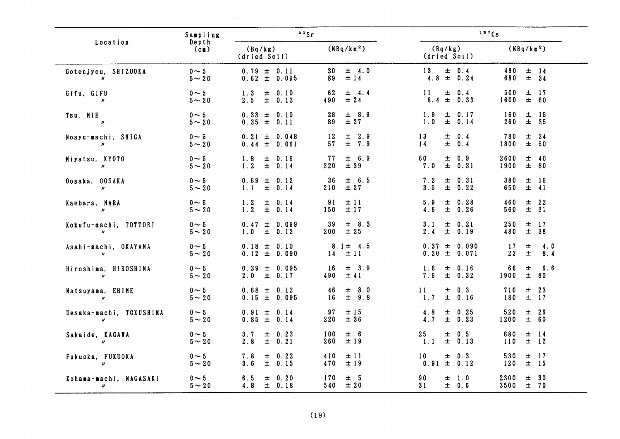|                                              | Sampling                  | $\cdot$ $\cdot$ $\cdot$                        |                                           | 137Cs                                        |                                             |
|----------------------------------------------|---------------------------|------------------------------------------------|-------------------------------------------|----------------------------------------------|---------------------------------------------|
| Location                                     | Depth<br>(cn)             | (Bq/kg)<br>(dried Soil)                        | $(MBq/kn^2)$                              | (Bq/kg)<br>(dried Soil)                      | (MBq/km <sup>2</sup> )                      |
| Gotenjyou, SHIZUOKA<br>$\boldsymbol{\eta}$   | $0 \sim 5$<br>$5 - 20$    | $0.79 \pm 0.11$<br>$0.62 \pm 0.095$            | 30 <sub>o</sub><br>$\pm$ 4.0<br>±14<br>89 | 13<br>$\pm$ 0.4<br>$4.8 \pm 0.24$            | 480<br>$\pm$ 14<br>$\pm$ 34<br>680          |
| Gifu, GIFU<br>$\boldsymbol{\eta}$            | $0 \sim 5$<br>$5 - 20$    | ± 0.10<br>1.3<br>2.5<br>$\pm$ 0.12             | 62<br>$\pm$ 4.4<br>±24<br>490             | 11<br>土<br>0.4<br>$\pm$<br>8.4<br>0.33       | 500<br>$±$ 17<br>± 60<br>1600               |
| Tsu, MIE<br>$\boldsymbol{\eta}$              | $0 \sim 5$<br>$5 \sim 20$ | $0.33 \pm 0.10$<br>$0.35 \pm 0.11$             | $\pm$ 8.9<br>28<br>± 27<br>89             | 1.9<br>土<br>0.17<br>$\pm$<br>1.0<br>0.14     | 160<br>$\pm$<br>15<br>$\pm$ 35<br>260       |
| Nosyu-machi, SHIGA<br>$\boldsymbol{\eta}$    | $0 \sim 5$<br>$5 \sim 20$ | $0.21 \pm 0.048$<br>0.44<br>± 0.061            | $\pm$ 2.9<br>12<br>$\pm$ 7.9<br>57        | 13<br>$\pm$ 0.4<br>$\pm$<br>0.4<br>14        | 780<br>$\pm$<br>24<br>$\pm$<br>1800<br>- 50 |
| Miyatsu, KY0T0<br>$\boldsymbol{n}$           | $0 \sim 5$<br>$5 - 20$    | 1.8<br>± 0.16<br>1.2<br>$\pm$<br>0.14          | $\pm$ 6.9<br>77<br>± 39<br>320            | 60<br>0.9<br>士<br>$\pm$<br>0.31<br>7.0       | 2600<br>$\pm$<br>40<br>1900<br>$\pm$ 80     |
| Oosaka, OOSAKA<br>$\boldsymbol{\eta}$        | $0 \sim 5$<br>$5 - 20$    | 0.69<br>$\pm$ 0.12<br>$\pm$<br>0.14<br>1.1     | 36<br>$\pm$ 6.5<br>210<br>±27             | 7.2<br>土<br>0.31<br>$\pm$<br>3.5<br>0.22     | 380<br>$±$ 16<br>$\pm$<br>41<br>650         |
| Kaebara, NARA<br>$\boldsymbol{\eta}$         | $0 \sim 5$<br>$5 - 20$    | 1.2<br>$\pm$<br>0.14<br>1.2<br>$\pm$<br>0.14   | 91<br>±11<br>±17<br>150                   | 5.9<br>0.28<br>士<br>4.6<br>$\pm$<br>0.26     | 460<br>士<br>22<br>$\pm$ 31<br>560           |
| Kokufu-machi, TOTTORI<br>$\boldsymbol{\eta}$ | $0 \sim 5$<br>$5 - 20$    | 0.47<br>$\pm$<br>0.099<br>1.0<br>$\pm$<br>0.12 | 39<br>$\pm$ 8.3<br>200<br>±25             | 0.21<br>3.1<br>$\pm$<br>$\pm$<br>2.4<br>0.19 | 250<br>$\pm$<br>-17<br>$\pm$<br>38<br>480   |
| Asahi-machi, OKAYAMA<br>$\boldsymbol{\mu}$   | $0 \sim 5$<br>$5 - 20$    | $0.18 \pm$<br>0.10<br>$0.12 \pm$<br>0.090      | $8.1 \pm 4.5$<br>±11<br>14                | $0.37 \pm$<br>0.090<br>$0.20 \pm 0.071$      | 17<br>4.0<br>土<br>$\pm$<br>23<br>8.4        |
| Hiroshima, HIROSHIMA<br>$\boldsymbol{\eta}$  | $0 \sim 5$<br>$5 - 20$    | $0.39 \pm$<br>0.095<br>2.0<br>$\pm$<br>0.17    | 16<br>$\pm$ 3.9<br>± 41<br>490            | 1.6<br>$\pm$ 0.16<br>$\pm$<br>7.6<br>0.32    | 6.6<br>66<br>士<br>$\pm$<br>1900<br>80       |
| Matsuyama, EHIME<br>$\boldsymbol{\eta}$      | $0 \sim 5$<br>$5 - 20$    | $0.68 \pm 0.12$<br>$0.15 \pm 0.095$            | 46<br>± 8.0<br>16<br>± 9.8                | 0.3<br>11<br>土<br>$\pm$<br>1.7<br>0.16       | $\pm$<br>23<br>710<br>$±$ 17<br>180         |
| Uesaka-machi, TOKUSHIMA<br>$\boldsymbol{n}$  | $0 \sim 5$<br>$5 - 20$    | $0.91 \pm 0.14$<br>$0.85 \pm$<br>0.14          | 97<br>±15<br>±36<br>220                   | ± 0.25<br>4.8<br>4.7<br>$\pm$<br>0.23        | 520<br>士<br>26<br>± 60<br>1200              |
| Sakaide, KAGAWA<br>$\boldsymbol{n}$          | $0 \sim 5$<br>$5 - 20$    | 0.23<br>3.7<br>士<br>2.8<br>$\pm$<br>0.21       | $\pm$ 6<br>100<br>±19<br>260              | 25<br>0.5<br>土<br>1.1<br>士<br>0.13           | 680<br>$±$ 14<br>$\pm$ 12<br>110            |
| Fukuoka, FUKUOKA<br>$\boldsymbol{\eta}$      | $0 \sim 5$<br>$5 - 20$    | $\pm 0.22$<br>7.8<br>3.6<br>士<br>0.15          | 410<br>$\pm$ 11<br>±19<br>470             | $\pm$ 0.3<br>10<br>$0.91 \pm$<br>0.12        | 530<br>$±$ 17<br>$\pm$ 15<br>120            |
| Kohama-machi, NAGASAKI<br>$\boldsymbol{n}$   | $0 \sim 5$<br>$5 - 20$    | 0.20<br>6.5<br>士<br>4.8<br>$\pm$ 0.18          | 170<br>$\pm$ 5<br>±20<br>540              | 90<br>1.0<br>土<br>31<br>$\pm$ 0.6            | 2300<br>土<br>- 30<br>3500<br>$\pm$ 70       |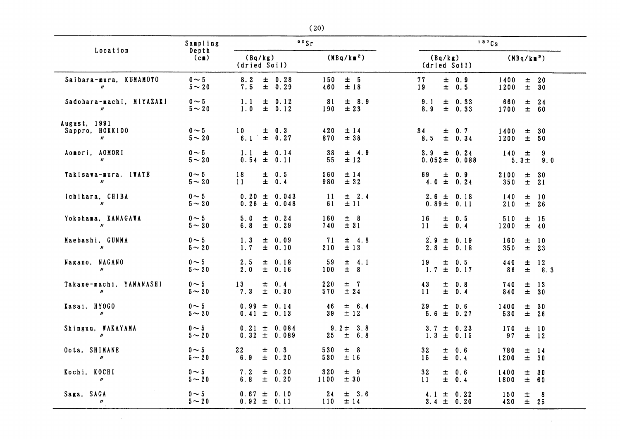|                                                        | Sampling                |                                           | 00Sr                              |                                        | 137Cs                                                      |  |
|--------------------------------------------------------|-------------------------|-------------------------------------------|-----------------------------------|----------------------------------------|------------------------------------------------------------|--|
| Location                                               | Depth<br>(c)            | (Bq/kg)<br>(dried Soil)                   | (MBq/km <sup>2</sup> )            | (Bq/kg)<br>(dried Soil)                | (MBq/km <sup>2</sup> )                                     |  |
| Saibara-mura, KUMAMOTO<br>$\boldsymbol{\eta}$          | $0 \sim 5$<br>$5 - 20$  | $8.2 \pm 0.28$<br>7.5<br>$\pm$ 0.29       | ± 5<br>150<br>±18<br>460          | $\pm$ 0.9<br>77<br>19<br>$\pm$ 0.5     | 1400<br>$\pm$ 20<br>1200<br>$\pm$ 30                       |  |
| Sadohara-machi, MIYAZAKI<br>$\mathbf{v}$               | $0 \sim 5$<br>$5 - 20$  | 1.1<br>$\pm 0.12$<br>1.0<br>$\pm 0.12$    | $\pm$ 8.9<br>81<br>±23<br>190     | 9.1<br>$\pm$ 0.33<br>8.9<br>$\pm$ 0.33 | 660<br>$±$ 24<br>$\pm$ 60<br>1700                          |  |
| August, 1991<br>Sappro, HOKKIDO<br>$\boldsymbol{\eta}$ | $0 \sim 5$<br>$5 - 20$  | $10-1$<br>$\pm$ 0.3<br>$6.1 \pm 0.27$     | 420<br>±14<br>870<br>±38          | 34<br>$\pm$ 0.7<br>$\pm 0.34$<br>8.5   | 1400<br>± 30<br>1200<br>$\pm$ 50                           |  |
| Aomori, AOMORI<br>$\boldsymbol{\eta}$                  | $0 \sim 5$<br>$5 - 20$  | 1.1<br>± 0.14<br>$0.54 \pm$<br>0.11       | 38<br>$\pm$ 4.9<br>±12<br>55      | $3.9 \pm 0.24$<br>$0.052 \pm 0.088$    | 9<br>$140 \pm$<br>$5.3 \pm$<br>9.0                         |  |
| Takisawa-mura, IWATE<br>$\boldsymbol{\eta}$            | $0 \sim 5$<br>$5 - 20$  | $\pm$ 0.5<br>18<br>11<br>$\pm$ 0.4        | 560<br>±14<br>980<br>± 32         | 69<br>$\pm$<br>0.9<br>$4.0 \pm 0.24$   | 2100<br>$\pm$ 30<br>350<br>$\pm$ 21                        |  |
| Ichihara, CHIBA<br>$\boldsymbol{\eta}$                 | $0 \sim 5$<br>$5\sim20$ | $0.20 \pm 0.043$<br>$0.26 \pm 0.048$      | -11<br>$\pm$ 2.4<br>61<br>± 11    | $2.6 \pm 0.18$<br>$0.89 \pm 0.11$      | 140<br>$\pm$ 10<br>210<br>$\pm$ 26                         |  |
| Yokohama, KANAGAWA<br>$\boldsymbol{n}$                 | $0 \sim 5$<br>$5\sim20$ | 5.0<br>± 0.24<br>6.8<br>$\pm$ 0.29        | 160<br>± 8<br>740<br>± 31         | 16<br>$\pm$ 0.5<br>$\pm$<br>11<br>0.4  | $\pm$ 15<br>510<br>1200<br>$\pm$ 40                        |  |
| Maebashi, GUNMA<br>$\mathbf{n}$                        | $0 \sim 5$<br>$5 - 20$  | 1.3<br>$\pm$ 0.09<br>1.7<br>± 0.10        | 71<br>$\pm$ 4.8<br>±13<br>210     | $2.9 \pm 0.19$<br>$2.8 \pm 0.18$       | 160<br>±10<br>$\pm$ 23<br>350                              |  |
| Nagano, NAGANO<br>$\boldsymbol{\eta}$                  | $0 \sim 5$<br>$5 - 20$  | 2.5<br>± 0.18<br>2.0<br>± 0.16            | 59<br>$\pm$ 4.1<br>$\pm$ 8<br>100 | 19<br>$\pm$ 0.5<br>$1.7 \pm$<br>0.17   | 440<br>$\pm$ 12<br>$\pm$<br>8.3<br>86                      |  |
| Takane-machi, YAMANASHI<br>$\boldsymbol{\eta}$         | $0 \sim 5$<br>$5\sim20$ | 13<br>$\pm$ 0.4<br>7.3<br>$\pm$ 0.30      | 220<br>$±$ 7<br>570<br>±24        | 43<br>土<br>0.8<br>$\pm$<br>0.4<br>11   | 740<br>$\pm$ 13<br>840<br>$\pm$ 30                         |  |
| Kasai, HYOGO<br>$\boldsymbol{\prime\prime}$            | $0 \sim 5$<br>$5 - 20$  | $0.99 \pm 0.14$<br>$0.41 \pm 0.13$        | 46<br>$\pm$ 6.4<br>39<br>$\pm$ 12 | 29<br>Ŧ.<br>0.6<br>$5.6 \pm 0.27$      | 1400<br>$\pm$ 30<br>530<br>$±$ 26                          |  |
| Shinguu, WAKAYAMA<br>$\boldsymbol{\eta}$               | $0 \sim 5$<br>$5\sim20$ | $0.21 \pm 0.084$<br>$0.32 \pm 0.089$      | $9.2 \pm 3.8$<br>$25 \pm 6.8$     | $3.7 \pm 0.23$<br>$1.3 \pm 0.15$       | 170<br>±10<br>97<br>$\pm$ 12                               |  |
| Oota, SHIMANE<br>$\boldsymbol{\eta}$                   | $0 \sim 5$<br>$5\sim20$ | 22<br>$\pm$ 0.3<br>6.9<br>$\pm$ 0.20      | 530<br>± 8<br>530<br>±16          | 32<br>$\pm$<br>0.6<br>15<br>士。<br>0.4  | 780<br>$\pm$ 14<br>± 30<br>1200                            |  |
| Kochi, KOCHI<br>$\boldsymbol{\eta}$                    | $0 \sim 5$<br>$5\sim20$ | 7.2<br>$\pm$ 0.20<br>6.8<br>$\pm$<br>0.20 | 320<br>± 9<br>± 30<br>1100        | 32<br>士<br>0.6<br>$\pm$<br>11<br>0.4   | 1400<br>± 30<br>1800<br>± 60                               |  |
| Saga, SAGA<br>$\boldsymbol{\prime\prime}$              | $0 \sim 5$<br>$5 - 20$  | $0.67 \pm$<br>0.10<br>$0.92 \pm 0.11$     | 24<br>$\pm$ 3.6<br>±14<br>110     | $4.1 \pm 0.22$<br>$3.4 \pm 0.20$       | 150<br>$\pm$<br>$\overline{\mathbf{8}}$<br>420<br>$\pm$ 25 |  |

 $\sim$ 

 $\sim 10^{-11}$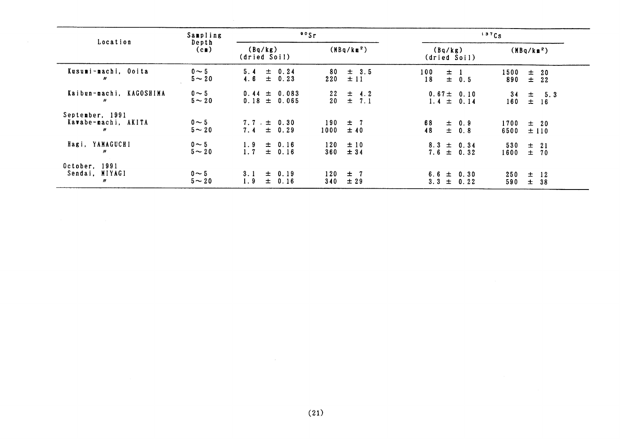|                                                                       | Sampling                  | $\cdot$ $\cdot$ $\cdot$                           |                                              |                                    | 137Cs                                 |
|-----------------------------------------------------------------------|---------------------------|---------------------------------------------------|----------------------------------------------|------------------------------------|---------------------------------------|
| Location                                                              | Depth<br>(c)              | (MBq/km <sup>2</sup> )<br>(Bq/kg)<br>(dried Soil) |                                              | (Bq/kg)<br>(dried Soil)            | (MBq/km <sup>2</sup> )                |
| Kusumi-machi, Ooita<br>"                                              | $0 \sim 5$<br>$5 - 20$    | $\pm$<br>0.24<br>5.4<br>$\pm$ 0.23<br>4.6         | $\pm$ 3.5<br>80<br>±11<br>220                | 100<br>$\pm$ 1<br>$\pm$ 0.5<br>18  | 1500<br>$\pm$ 20<br>890<br>$\pm$ 22   |
| Kaibun-machi, KAGOSHIMA<br>$\boldsymbol{\mathcal{H}}$                 | $0 \sim 5$<br>$5 - 20$    | $0.44 \pm 0.083$<br>$0.18 \pm 0.065$              | $22 \pm 4.2$<br>$\pm$ 7.1<br>20 <sub>o</sub> | $0.67 \pm 0.10$<br>$1.4 \pm 0.14$  | 34<br>$\pm$ 5.3<br>160<br>$\pm$<br>16 |
| September, 1991<br>Kawabe-machi, AKITA<br>$\boldsymbol{\prime\prime}$ | $0 \sim 5$<br>$5 \sim 20$ | $7.7 \pm 0.30$<br>$7.4 \pm 0.29$                  | 190<br>$\pm$ 7<br>1000<br>±40                | 68<br>$\pm$ 0.9<br>48<br>$\pm$ 0.8 | 1700<br>$\pm$ 20<br>6500<br>±110      |
| Hagi, YAMAGUCHI<br>$\boldsymbol{\eta}$                                | $0 \sim 5$<br>$5 - 20$    | $\pm$ 0.16<br>1.9<br>1.7<br>$\pm$ 0.16            | 120<br>±10<br>360<br>±34                     | $8.3 \pm 0.34$<br>$7.6 \pm 0.32$   | 530<br>$\pm$ 21<br>$\pm$ 70<br>1600   |
| October, 1991<br>Sendai, MIYAGI<br>$\boldsymbol{\prime\prime}$        | $0 \sim 5$<br>$5 - 20$    | $\pm$ 0.19<br>3.1<br>1.9<br>$\pm$ 0.16            | 120<br>$\pm$ 7<br>340<br>±29                 | $6.6 \pm 0.30$<br>$3.3 \pm 0.22$   | 250<br>$\pm$ 12<br>$\pm$<br>590<br>38 |

 $\sim 10^{-1}$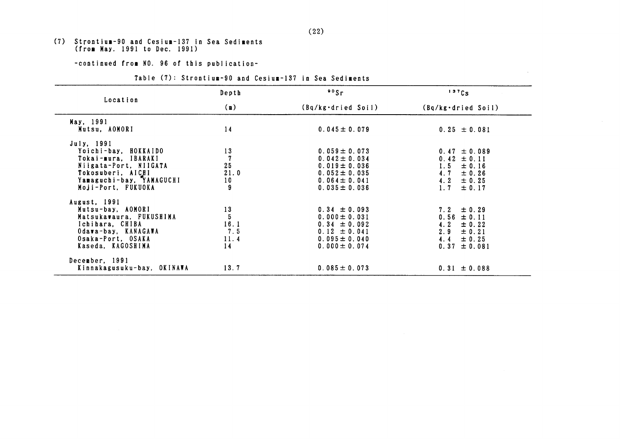# (7) Strontium-90 and Cesium-137 in Sea Sediments<br>(from May. 1991 to Dec. 1991)

-continued from NO. 96 of this publication-

#### Table (7): Strontium-90 and Cesium-137 in Sea Sediments

|                            | $\frac{80}{5}$ r<br>Depth |                    | 137Cs                 |  |
|----------------------------|---------------------------|--------------------|-----------------------|--|
| Location                   | $(\mathbf{m})$            | (Bq/kg·dried Soil) | (Bq/kg·dried Soil)    |  |
| May, 1991                  |                           |                    |                       |  |
| Mutsu, AOMORI              | 14                        | $0.045 \pm 0.079$  | $0.25 \pm 0.081$      |  |
| July, 1991                 |                           |                    |                       |  |
| Yoichi-bay, HOKKAIDO       | 13                        | $0.059 \pm 0.073$  | $0.47 \pm 0.089$      |  |
| Tokai-mura. IBARAKI        | $\overline{7}$            | $0.042 \pm 0.034$  | $0.42 \pm 0.11$       |  |
| Niigata-Port, NIIGATA      | 25                        | $0.019 \pm 0.036$  | $1.5 -$<br>$\pm 0.16$ |  |
| Tokosuberi, AICHI          | 21.0                      | $0.052 \pm 0.035$  | 4.7<br>$\pm$ 0.26     |  |
| Yamaguchi-bay, YAMAGUCHI   | 10                        | $0.064 \pm 0.041$  | 4.2<br>$\pm$ 0.25     |  |
| Moji-Port. FUKUOKA         | 9                         | $0.035 \pm 0.036$  | 1.7<br>$\pm$ 0.17     |  |
| August, 1991               |                           |                    |                       |  |
| Mutsu-bay, AOMORI          | 13                        | $0.34 \pm 0.093$   | $7.2 \pm 0.29$        |  |
| Matsukawaura, FUKUSHIMA    | 5                         | $0.000 \pm 0.031$  | $0.56 \pm 0.11$       |  |
| Ichihara, CHIBA            | 16.1                      | $0.34 \pm 0.092$   | $4.2 \pm 0.22$        |  |
| Odawa-bay, KANAGAWA        | 7.5                       | $0.12 \pm 0.041$   | $2.9 \pm 0.21$        |  |
| Osaka-Port, OSAKA          | 11.4                      | $0.095 \pm 0.040$  | $4.4 \pm 0.25$        |  |
| Kaseda, KAGOSHIMA          | 14                        | $0.000 \pm 0.074$  | $0.37 \pm 0.081$      |  |
| December, 1991             |                           |                    |                       |  |
| Kinnakagusuku-bay, OKINAWA | 13.7                      | $0.085 \pm 0.073$  | $0.31 \pm 0.088$      |  |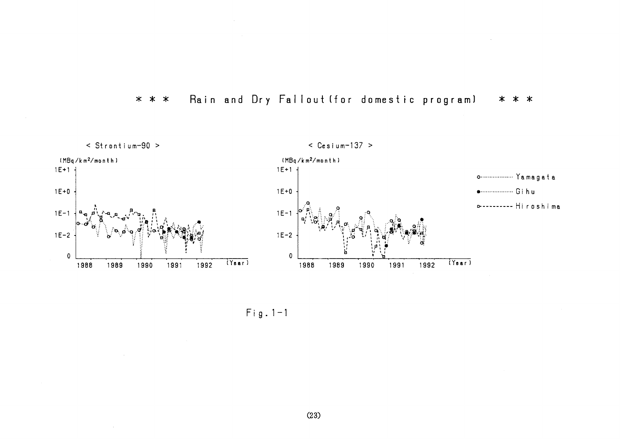



 $Fig. 1-1$ 

 $\sim$ 

 $\sim$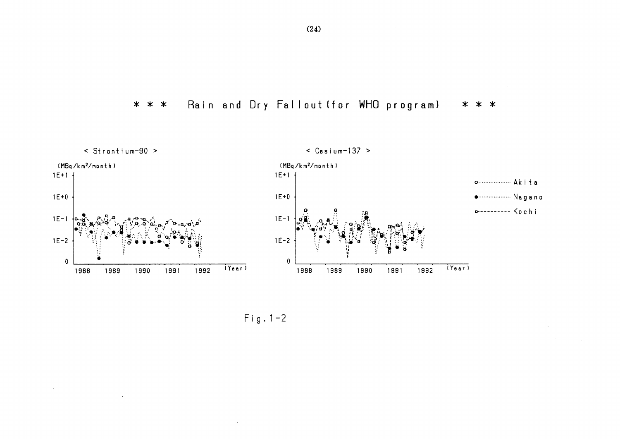Rain and Dry Fallout (for WHO program)  $* * *$ \* \* \*



 $Fig. 1-2$ 

 $\sim$ 

 $\sim$ 

 $\sim$ 

 $\sim 10^7$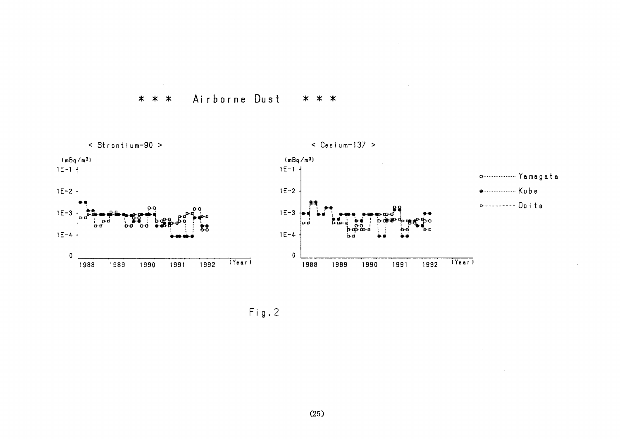





 $(25)$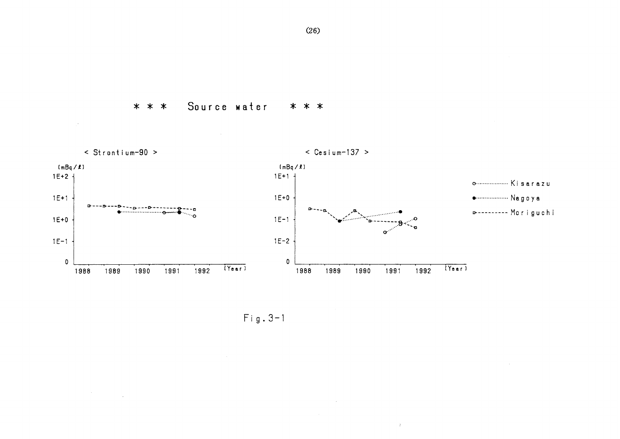Source water \* \* \* \* \* \*

 $\mathcal{A}^{\mathcal{A}}$ 

 $\label{eq:2.1} \frac{1}{\sqrt{2}}\sum_{i=1}^n\frac{1}{\sqrt{2}}\sum_{i=1}^n\frac{1}{\sqrt{2}}\sum_{i=1}^n\frac{1}{\sqrt{2}}\sum_{i=1}^n\frac{1}{\sqrt{2}}\sum_{i=1}^n\frac{1}{\sqrt{2}}\sum_{i=1}^n\frac{1}{\sqrt{2}}\sum_{i=1}^n\frac{1}{\sqrt{2}}\sum_{i=1}^n\frac{1}{\sqrt{2}}\sum_{i=1}^n\frac{1}{\sqrt{2}}\sum_{i=1}^n\frac{1}{\sqrt{2}}\sum_{i=1}^n\frac$ 

 $\bar{A}$ < Strontium-90 >  $\le$  Cesium-137 >  $(mBq/L)$  $(mBq/R)$  $1E + 2 +$  $1E + 1 +$  $1E+1$  $1E + 0$ **..................** Nagoya o . <sub>Br</sub>on-a-Breata **D--------- Moriguchi**  $1E-1$  $1E+0$  $1E-1$  $1E-2$  $\pmb{0}$  $\pmb{0}$  $(Y_{\texttt{ear}})$  $(Year)$ 1989 1990 1991 1992 1988 1989 1990 1991 1992 1988

 $\sim$ 

 $\pm$ 

 $Fig. 3-1$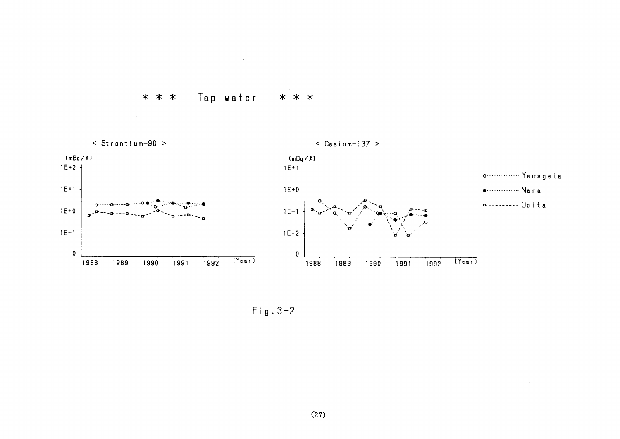



 $Fig. 3-2$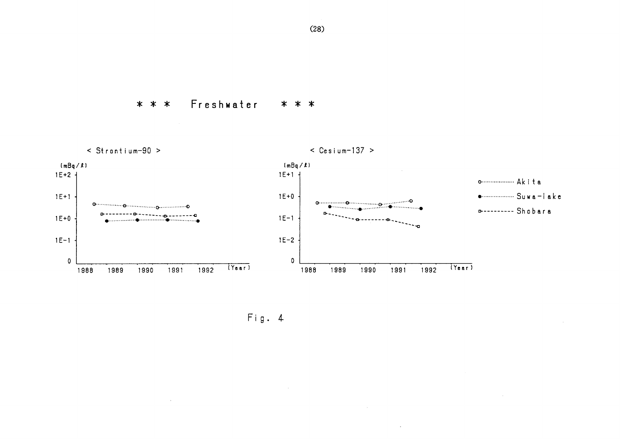Freshwater \* \* \* \* \* \*



 $\ddot{\phantom{1}}$ 

Fig. 4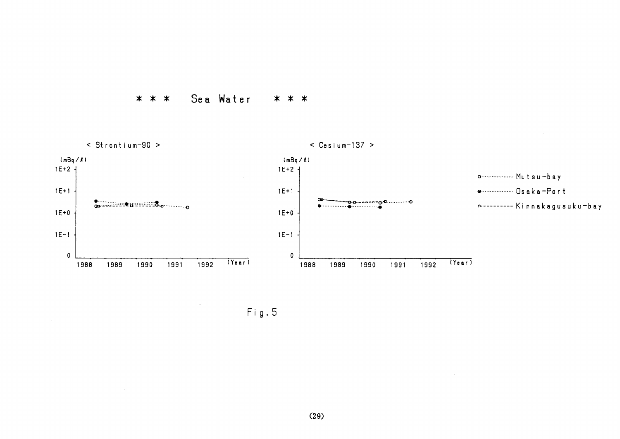

 $\alpha$ 

 $\mathcal{L}$ 



 $Fig. 5$